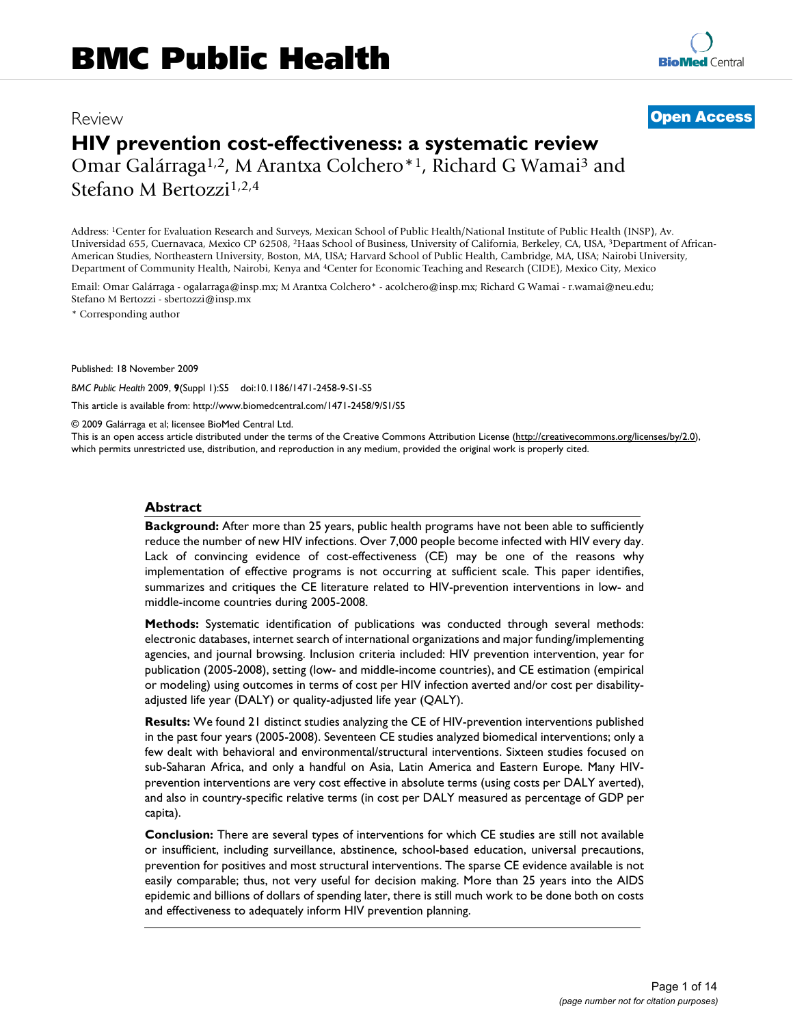# Review **[Open Access](http://www.biomedcentral.com/info/about/charter/)**

# **HIV prevention cost-effectiveness: a systematic review** Omar Galárraga1,2, M Arantxa Colchero\*1, Richard G Wamai3 and Stefano M Bertozzi<sup>1,2,4</sup>

Address: 1Center for Evaluation Research and Surveys, Mexican School of Public Health/National Institute of Public Health (INSP), Av. Universidad 655, Cuernavaca, Mexico CP 62508, 2Haas School of Business, University of California, Berkeley, CA, USA, 3Department of African-American Studies, Northeastern University, Boston, MA, USA; Harvard School of Public Health, Cambridge, MA, USA; Nairobi University, Department of Community Health, Nairobi, Kenya and 4Center for Economic Teaching and Research (CIDE), Mexico City, Mexico

Email: Omar Galárraga - ogalarraga@insp.mx; M Arantxa Colchero\* - acolchero@insp.mx; Richard G Wamai - r.wamai@neu.edu; Stefano M Bertozzi - sbertozzi@insp.mx

\* Corresponding author

Published: 18 November 2009

*BMC Public Health* 2009, **9**(Suppl 1):S5 doi:10.1186/1471-2458-9-S1-S5

[This article is available from: http://www.biomedcentral.com/1471-2458/9/S1/S5](http://www.biomedcentral.com/1471-2458/9/S1/S5)

© 2009 Galárraga et al; licensee BioMed Central Ltd.

This is an open access article distributed under the terms of the Creative Commons Attribution License [\(http://creativecommons.org/licenses/by/2.0\)](http://creativecommons.org/licenses/by/2.0), which permits unrestricted use, distribution, and reproduction in any medium, provided the original work is properly cited.

#### **Abstract**

**Background:** After more than 25 years, public health programs have not been able to sufficiently reduce the number of new HIV infections. Over 7,000 people become infected with HIV every day. Lack of convincing evidence of cost-effectiveness (CE) may be one of the reasons why implementation of effective programs is not occurring at sufficient scale. This paper identifies, summarizes and critiques the CE literature related to HIV-prevention interventions in low- and middle-income countries during 2005-2008.

**Methods:** Systematic identification of publications was conducted through several methods: electronic databases, internet search of international organizations and major funding/implementing agencies, and journal browsing. Inclusion criteria included: HIV prevention intervention, year for publication (2005-2008), setting (low- and middle-income countries), and CE estimation (empirical or modeling) using outcomes in terms of cost per HIV infection averted and/or cost per disabilityadjusted life year (DALY) or quality-adjusted life year (QALY).

**Results:** We found 21 distinct studies analyzing the CE of HIV-prevention interventions published in the past four years (2005-2008). Seventeen CE studies analyzed biomedical interventions; only a few dealt with behavioral and environmental/structural interventions. Sixteen studies focused on sub-Saharan Africa, and only a handful on Asia, Latin America and Eastern Europe. Many HIVprevention interventions are very cost effective in absolute terms (using costs per DALY averted), and also in country-specific relative terms (in cost per DALY measured as percentage of GDP per capita).

**Conclusion:** There are several types of interventions for which CE studies are still not available or insufficient, including surveillance, abstinence, school-based education, universal precautions, prevention for positives and most structural interventions. The sparse CE evidence available is not easily comparable; thus, not very useful for decision making. More than 25 years into the AIDS epidemic and billions of dollars of spending later, there is still much work to be done both on costs and effectiveness to adequately inform HIV prevention planning.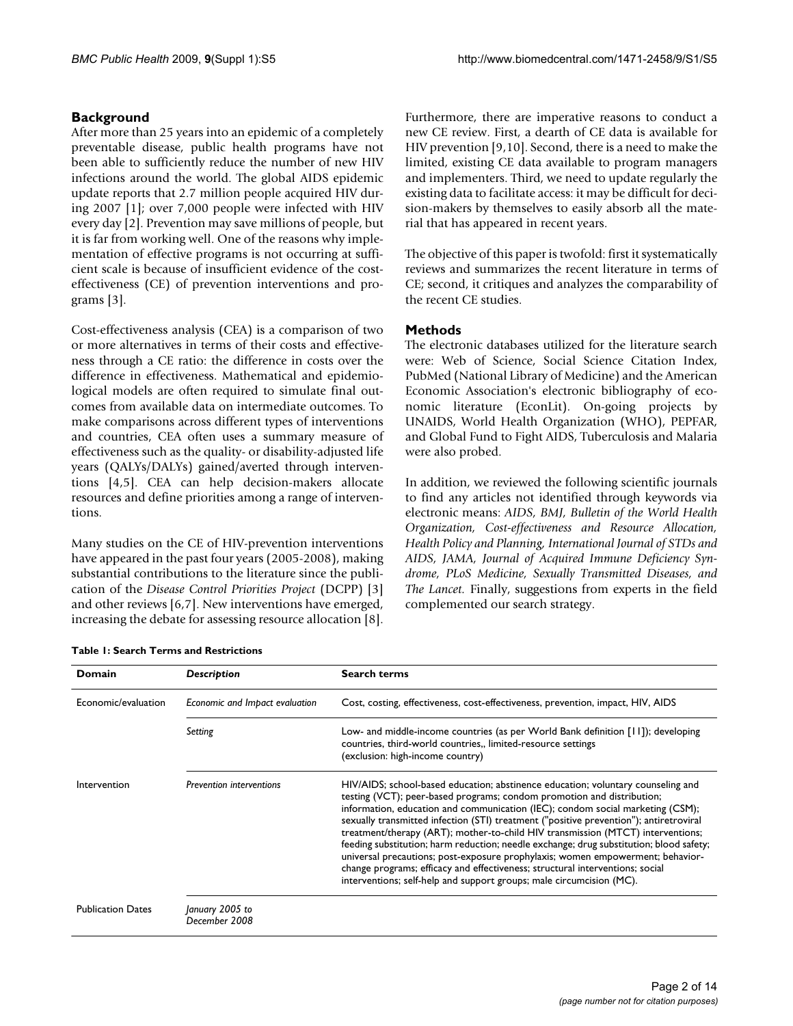# **Background**

After more than 25 years into an epidemic of a completely preventable disease, public health programs have not been able to sufficiently reduce the number of new HIV infections around the world. The global AIDS epidemic update reports that 2.7 million people acquired HIV during 2007 [1]; over 7,000 people were infected with HIV every day [2]. Prevention may save millions of people, but it is far from working well. One of the reasons why implementation of effective programs is not occurring at sufficient scale is because of insufficient evidence of the costeffectiveness (CE) of prevention interventions and programs [3].

Cost-effectiveness analysis (CEA) is a comparison of two or more alternatives in terms of their costs and effectiveness through a CE ratio: the difference in costs over the difference in effectiveness. Mathematical and epidemiological models are often required to simulate final outcomes from available data on intermediate outcomes. To make comparisons across different types of interventions and countries, CEA often uses a summary measure of effectiveness such as the quality- or disability-adjusted life years (QALYs/DALYs) gained/averted through interventions [4,5]. CEA can help decision-makers allocate resources and define priorities among a range of interventions.

Many studies on the CE of HIV-prevention interventions have appeared in the past four years (2005-2008), making substantial contributions to the literature since the publication of the *Disease Control Priorities Project* (DCPP) [3] and other reviews [6,7]. New interventions have emerged, increasing the debate for assessing resource allocation [8]. Furthermore, there are imperative reasons to conduct a new CE review. First, a dearth of CE data is available for HIV prevention [9,10]. Second, there is a need to make the limited, existing CE data available to program managers and implementers. Third, we need to update regularly the existing data to facilitate access: it may be difficult for decision-makers by themselves to easily absorb all the material that has appeared in recent years.

The objective of this paper is twofold: first it systematically reviews and summarizes the recent literature in terms of CE; second, it critiques and analyzes the comparability of the recent CE studies.

# **Methods**

The electronic databases utilized for the literature search were: Web of Science, Social Science Citation Index, PubMed (National Library of Medicine) and the American Economic Association's electronic bibliography of economic literature (EconLit). On-going projects by UNAIDS, World Health Organization (WHO), PEPFAR, and Global Fund to Fight AIDS, Tuberculosis and Malaria were also probed.

In addition, we reviewed the following scientific journals to find any articles not identified through keywords via electronic means: *AIDS, BMJ, Bulletin of the World Health Organization, Cost-effectiveness and Resource Allocation, Health Policy and Planning, International Journal of STDs and AIDS, JAMA, Journal of Acquired Immune Deficiency Syndrome, PLoS Medicine, Sexually Transmitted Diseases, and The Lancet.* Finally, suggestions from experts in the field complemented our search strategy.

| Domain                   | Description                      | <b>Search terms</b>                                                                                                                                                                                                                                                                                                                                                                                                                                                                                                                                                                                                                                                                                                                                             |
|--------------------------|----------------------------------|-----------------------------------------------------------------------------------------------------------------------------------------------------------------------------------------------------------------------------------------------------------------------------------------------------------------------------------------------------------------------------------------------------------------------------------------------------------------------------------------------------------------------------------------------------------------------------------------------------------------------------------------------------------------------------------------------------------------------------------------------------------------|
| Economic/evaluation      | Economic and Impact evaluation   | Cost, costing, effectiveness, cost-effectiveness, prevention, impact, HIV, AIDS                                                                                                                                                                                                                                                                                                                                                                                                                                                                                                                                                                                                                                                                                 |
|                          | Setting                          | Low- and middle-income countries (as per World Bank definition [11]); developing<br>countries, third-world countries,, limited-resource settings<br>(exclusion: high-income country)                                                                                                                                                                                                                                                                                                                                                                                                                                                                                                                                                                            |
| Intervention             | <b>Prevention interventions</b>  | HIV/AIDS; school-based education; abstinence education; voluntary counseling and<br>testing (VCT); peer-based programs; condom promotion and distribution;<br>information, education and communication (IEC); condom social marketing (CSM);<br>sexually transmitted infection (STI) treatment ("positive prevention"); antiretroviral<br>treatment/therapy (ART); mother-to-child HIV transmission (MTCT) interventions;<br>feeding substitution; harm reduction; needle exchange; drug substitution; blood safety;<br>universal precautions; post-exposure prophylaxis; women empowerment; behavior-<br>change programs; efficacy and effectiveness; structural interventions; social<br>interventions; self-help and support groups; male circumcision (MC). |
| <b>Publication Dates</b> | January 2005 to<br>December 2008 |                                                                                                                                                                                                                                                                                                                                                                                                                                                                                                                                                                                                                                                                                                                                                                 |

#### **Table 1: Search Terms and Restrictions**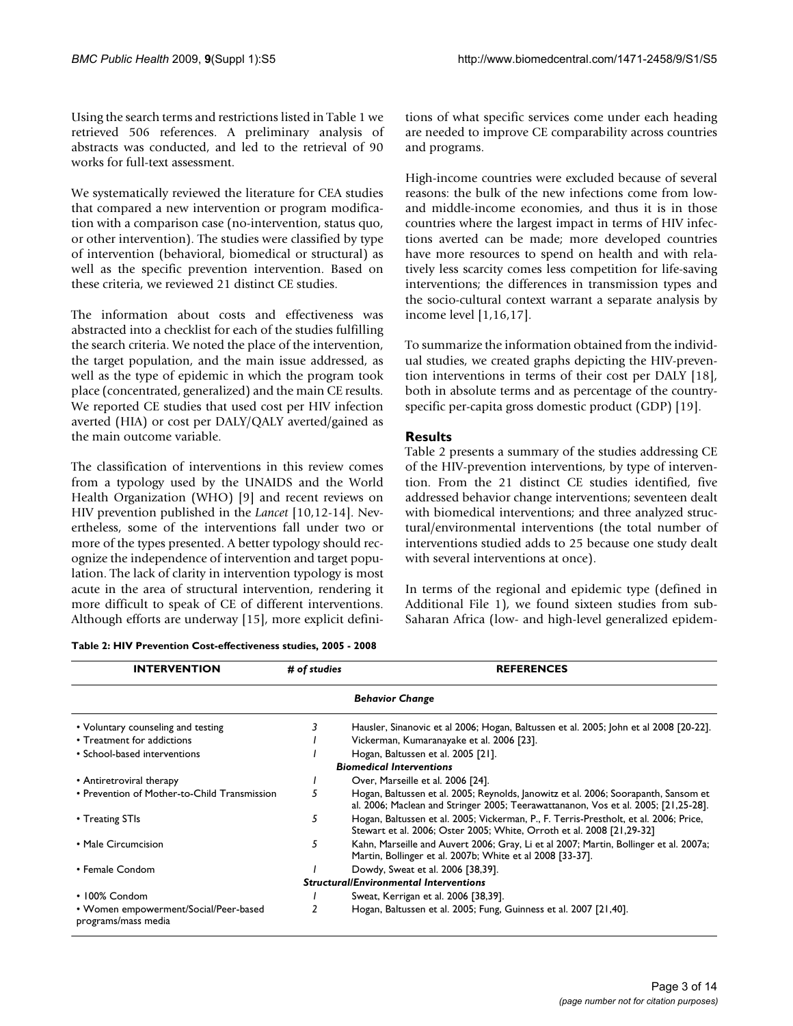Using the search terms and restrictions listed in Table 1 we retrieved 506 references. A preliminary analysis of abstracts was conducted, and led to the retrieval of 90 works for full-text assessment.

We systematically reviewed the literature for CEA studies that compared a new intervention or program modification with a comparison case (no-intervention, status quo, or other intervention). The studies were classified by type of intervention (behavioral, biomedical or structural) as well as the specific prevention intervention. Based on these criteria, we reviewed 21 distinct CE studies.

The information about costs and effectiveness was abstracted into a checklist for each of the studies fulfilling the search criteria. We noted the place of the intervention, the target population, and the main issue addressed, as well as the type of epidemic in which the program took place (concentrated, generalized) and the main CE results. We reported CE studies that used cost per HIV infection averted (HIA) or cost per DALY/QALY averted/gained as the main outcome variable.

The classification of interventions in this review comes from a typology used by the UNAIDS and the World Health Organization (WHO) [9] and recent reviews on HIV prevention published in the *Lancet* [10,12-14]. Nevertheless, some of the interventions fall under two or more of the types presented. A better typology should recognize the independence of intervention and target population. The lack of clarity in intervention typology is most acute in the area of structural intervention, rendering it more difficult to speak of CE of different interventions. Although efforts are underway [15], more explicit defini-

**Table 2: HIV Prevention Cost-effectiveness studies, 2005 - 2008**

tions of what specific services come under each heading are needed to improve CE comparability across countries and programs.

High-income countries were excluded because of several reasons: the bulk of the new infections come from lowand middle-income economies, and thus it is in those countries where the largest impact in terms of HIV infections averted can be made; more developed countries have more resources to spend on health and with relatively less scarcity comes less competition for life-saving interventions; the differences in transmission types and the socio-cultural context warrant a separate analysis by income level [1,16,17].

To summarize the information obtained from the individual studies, we created graphs depicting the HIV-prevention interventions in terms of their cost per DALY [18], both in absolute terms and as percentage of the countryspecific per-capita gross domestic product (GDP) [19].

# **Results**

Table 2 presents a summary of the studies addressing CE of the HIV-prevention interventions, by type of intervention. From the 21 distinct CE studies identified, five addressed behavior change interventions; seventeen dealt with biomedical interventions; and three analyzed structural/environmental interventions (the total number of interventions studied adds to 25 because one study dealt with several interventions at once).

In terms of the regional and epidemic type (defined in Additional File 1), we found sixteen studies from sub-Saharan Africa (low- and high-level generalized epidem-

| <b>INTERVENTION</b>                                          | # of studies | <b>REFERENCES</b>                                                                                                                                                         |
|--------------------------------------------------------------|--------------|---------------------------------------------------------------------------------------------------------------------------------------------------------------------------|
|                                                              |              | <b>Behavior Change</b>                                                                                                                                                    |
| • Voluntary counseling and testing                           |              | Hausler, Sinanovic et al 2006; Hogan, Baltussen et al. 2005; John et al 2008 [20-22].                                                                                     |
| • Treatment for addictions                                   |              | Vickerman, Kumaranayake et al. 2006 [23].                                                                                                                                 |
| • School-based interventions                                 |              | Hogan, Baltussen et al. 2005 [21].                                                                                                                                        |
|                                                              |              | <b>Biomedical Interventions</b>                                                                                                                                           |
| • Antiretroviral therapy                                     |              | Over, Marseille et al. 2006 [24].                                                                                                                                         |
| • Prevention of Mother-to-Child Transmission                 |              | Hogan, Baltussen et al. 2005; Reynolds, Janowitz et al. 2006; Soorapanth, Sansom et<br>al. 2006; Maclean and Stringer 2005; Teerawattananon, Vos et al. 2005; [21,25-28]. |
| • Treating STIs                                              | 5            | Hogan, Baltussen et al. 2005; Vickerman, P., F. Terris-Prestholt, et al. 2006; Price,<br>Stewart et al. 2006; Oster 2005; White, Orroth et al. 2008 [21,29-32]            |
| • Male Circumcision                                          | 5            | Kahn, Marseille and Auvert 2006; Gray, Li et al 2007; Martin, Bollinger et al. 2007a;<br>Martin, Bollinger et al. 2007b; White et al 2008 [33-37].                        |
| • Female Condom                                              |              | Dowdy, Sweat et al. 2006 [38,39].                                                                                                                                         |
|                                                              |              | <b>Structural/Environmental Interventions</b>                                                                                                                             |
| • 100% Condom                                                |              | Sweat, Kerrigan et al. 2006 [38,39].                                                                                                                                      |
| • Women empowerment/Social/Peer-based<br>programs/mass media |              | Hogan, Baltussen et al. 2005; Fung, Guinness et al. 2007 [21,40].                                                                                                         |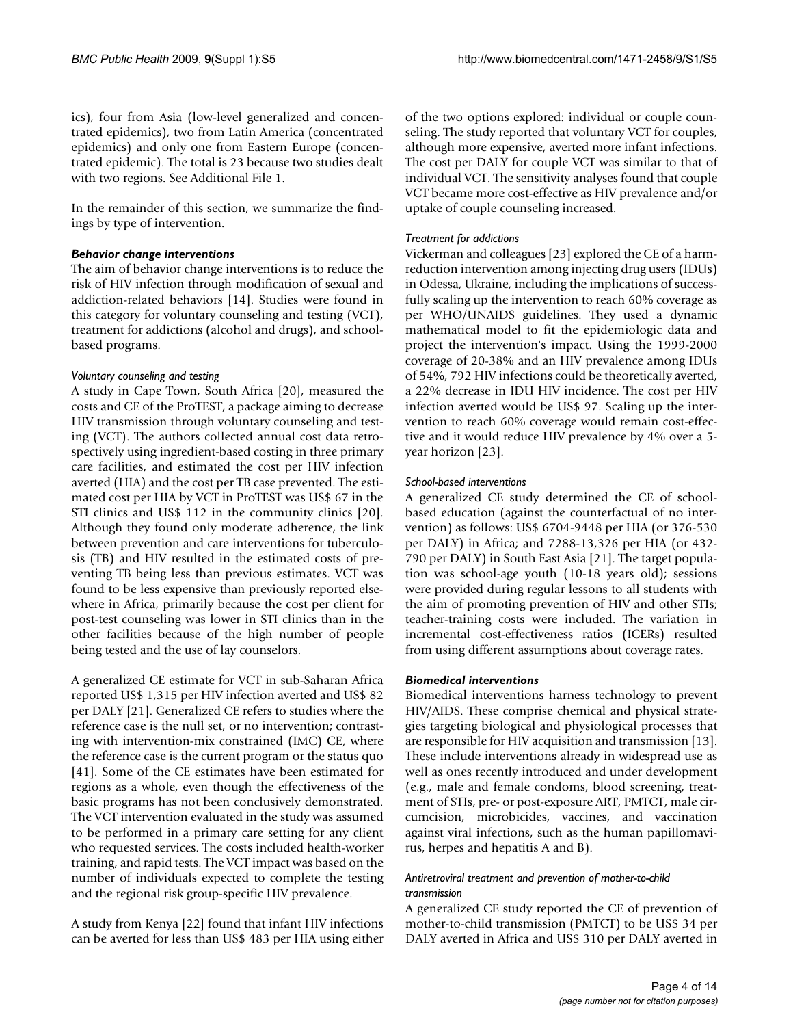ics), four from Asia (low-level generalized and concentrated epidemics), two from Latin America (concentrated epidemics) and only one from Eastern Europe (concentrated epidemic). The total is 23 because two studies dealt with two regions. See Additional File 1.

In the remainder of this section, we summarize the findings by type of intervention.

### *Behavior change interventions*

The aim of behavior change interventions is to reduce the risk of HIV infection through modification of sexual and addiction-related behaviors [14]. Studies were found in this category for voluntary counseling and testing (VCT), treatment for addictions (alcohol and drugs), and schoolbased programs.

# *Voluntary counseling and testing*

A study in Cape Town, South Africa [20], measured the costs and CE of the ProTEST, a package aiming to decrease HIV transmission through voluntary counseling and testing (VCT). The authors collected annual cost data retrospectively using ingredient-based costing in three primary care facilities, and estimated the cost per HIV infection averted (HIA) and the cost per TB case prevented. The estimated cost per HIA by VCT in ProTEST was US\$ 67 in the STI clinics and US\$ 112 in the community clinics [20]. Although they found only moderate adherence, the link between prevention and care interventions for tuberculosis (TB) and HIV resulted in the estimated costs of preventing TB being less than previous estimates. VCT was found to be less expensive than previously reported elsewhere in Africa, primarily because the cost per client for post-test counseling was lower in STI clinics than in the other facilities because of the high number of people being tested and the use of lay counselors.

A generalized CE estimate for VCT in sub-Saharan Africa reported US\$ 1,315 per HIV infection averted and US\$ 82 per DALY [21]. Generalized CE refers to studies where the reference case is the null set, or no intervention; contrasting with intervention-mix constrained (IMC) CE, where the reference case is the current program or the status quo [41]. Some of the CE estimates have been estimated for regions as a whole, even though the effectiveness of the basic programs has not been conclusively demonstrated. The VCT intervention evaluated in the study was assumed to be performed in a primary care setting for any client who requested services. The costs included health-worker training, and rapid tests. The VCT impact was based on the number of individuals expected to complete the testing and the regional risk group-specific HIV prevalence.

A study from Kenya [22] found that infant HIV infections can be averted for less than US\$ 483 per HIA using either of the two options explored: individual or couple counseling. The study reported that voluntary VCT for couples, although more expensive, averted more infant infections. The cost per DALY for couple VCT was similar to that of individual VCT. The sensitivity analyses found that couple VCT became more cost-effective as HIV prevalence and/or uptake of couple counseling increased.

# *Treatment for addictions*

Vickerman and colleagues [23] explored the CE of a harmreduction intervention among injecting drug users (IDUs) in Odessa, Ukraine, including the implications of successfully scaling up the intervention to reach 60% coverage as per WHO/UNAIDS guidelines. They used a dynamic mathematical model to fit the epidemiologic data and project the intervention's impact. Using the 1999-2000 coverage of 20-38% and an HIV prevalence among IDUs of 54%, 792 HIV infections could be theoretically averted, a 22% decrease in IDU HIV incidence. The cost per HIV infection averted would be US\$ 97. Scaling up the intervention to reach 60% coverage would remain cost-effective and it would reduce HIV prevalence by 4% over a 5 year horizon [23].

# *School-based interventions*

A generalized CE study determined the CE of schoolbased education (against the counterfactual of no intervention) as follows: US\$ 6704-9448 per HIA (or 376-530 per DALY) in Africa; and 7288-13,326 per HIA (or 432- 790 per DALY) in South East Asia [21]. The target population was school-age youth (10-18 years old); sessions were provided during regular lessons to all students with the aim of promoting prevention of HIV and other STIs; teacher-training costs were included. The variation in incremental cost-effectiveness ratios (ICERs) resulted from using different assumptions about coverage rates.

#### *Biomedical interventions*

Biomedical interventions harness technology to prevent HIV/AIDS. These comprise chemical and physical strategies targeting biological and physiological processes that are responsible for HIV acquisition and transmission [13]. These include interventions already in widespread use as well as ones recently introduced and under development (e.g., male and female condoms, blood screening, treatment of STIs, pre- or post-exposure ART, PMTCT, male circumcision, microbicides, vaccines, and vaccination against viral infections, such as the human papillomavirus, herpes and hepatitis A and B).

# *Antiretroviral treatment and prevention of mother-to-child transmission*

A generalized CE study reported the CE of prevention of mother-to-child transmission (PMTCT) to be US\$ 34 per DALY averted in Africa and US\$ 310 per DALY averted in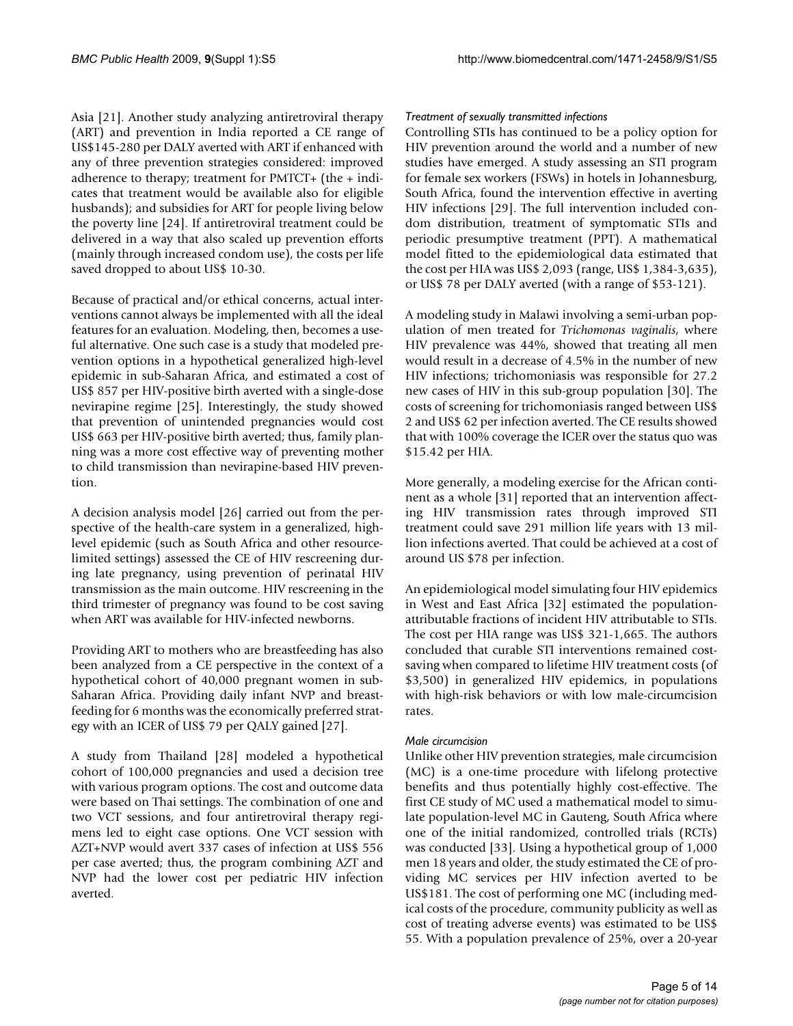Asia [21]. Another study analyzing antiretroviral therapy (ART) and prevention in India reported a CE range of US\$145-280 per DALY averted with ART if enhanced with any of three prevention strategies considered: improved adherence to therapy; treatment for PMTCT+ (the + indicates that treatment would be available also for eligible husbands); and subsidies for ART for people living below the poverty line [24]. If antiretroviral treatment could be delivered in a way that also scaled up prevention efforts (mainly through increased condom use), the costs per life saved dropped to about US\$ 10-30.

Because of practical and/or ethical concerns, actual interventions cannot always be implemented with all the ideal features for an evaluation. Modeling, then, becomes a useful alternative. One such case is a study that modeled prevention options in a hypothetical generalized high-level epidemic in sub-Saharan Africa, and estimated a cost of US\$ 857 per HIV-positive birth averted with a single-dose nevirapine regime [25]. Interestingly, the study showed that prevention of unintended pregnancies would cost US\$ 663 per HIV-positive birth averted; thus, family planning was a more cost effective way of preventing mother to child transmission than nevirapine-based HIV prevention.

A decision analysis model [26] carried out from the perspective of the health-care system in a generalized, highlevel epidemic (such as South Africa and other resourcelimited settings) assessed the CE of HIV rescreening during late pregnancy, using prevention of perinatal HIV transmission as the main outcome. HIV rescreening in the third trimester of pregnancy was found to be cost saving when ART was available for HIV-infected newborns.

Providing ART to mothers who are breastfeeding has also been analyzed from a CE perspective in the context of a hypothetical cohort of 40,000 pregnant women in sub-Saharan Africa. Providing daily infant NVP and breastfeeding for 6 months was the economically preferred strategy with an ICER of US\$ 79 per QALY gained [27].

A study from Thailand [28] modeled a hypothetical cohort of 100,000 pregnancies and used a decision tree with various program options. The cost and outcome data were based on Thai settings. The combination of one and two VCT sessions, and four antiretroviral therapy regimens led to eight case options. One VCT session with AZT+NVP would avert 337 cases of infection at US\$ 556 per case averted; thus, the program combining AZT and NVP had the lower cost per pediatric HIV infection averted.

# *Treatment of sexually transmitted infections*

Controlling STIs has continued to be a policy option for HIV prevention around the world and a number of new studies have emerged. A study assessing an STI program for female sex workers (FSWs) in hotels in Johannesburg, South Africa, found the intervention effective in averting HIV infections [29]. The full intervention included condom distribution, treatment of symptomatic STIs and periodic presumptive treatment (PPT). A mathematical model fitted to the epidemiological data estimated that the cost per HIA was US\$ 2,093 (range, US\$ 1,384-3,635), or US\$ 78 per DALY averted (with a range of \$53-121).

A modeling study in Malawi involving a semi-urban population of men treated for *Trichomonas vaginalis*, where HIV prevalence was 44%, showed that treating all men would result in a decrease of 4.5% in the number of new HIV infections; trichomoniasis was responsible for 27.2 new cases of HIV in this sub-group population [30]. The costs of screening for trichomoniasis ranged between US\$ 2 and US\$ 62 per infection averted. The CE results showed that with 100% coverage the ICER over the status quo was \$15.42 per HIA.

More generally, a modeling exercise for the African continent as a whole [31] reported that an intervention affecting HIV transmission rates through improved STI treatment could save 291 million life years with 13 million infections averted. That could be achieved at a cost of around US \$78 per infection.

An epidemiological model simulating four HIV epidemics in West and East Africa [32] estimated the populationattributable fractions of incident HIV attributable to STIs. The cost per HIA range was US\$ 321-1,665. The authors concluded that curable STI interventions remained costsaving when compared to lifetime HIV treatment costs (of \$3,500) in generalized HIV epidemics, in populations with high-risk behaviors or with low male-circumcision rates.

#### *Male circumcision*

Unlike other HIV prevention strategies, male circumcision (MC) is a one-time procedure with lifelong protective benefits and thus potentially highly cost-effective. The first CE study of MC used a mathematical model to simulate population-level MC in Gauteng, South Africa where one of the initial randomized, controlled trials (RCTs) was conducted [33]. Using a hypothetical group of 1,000 men 18 years and older, the study estimated the CE of providing MC services per HIV infection averted to be US\$181. The cost of performing one MC (including medical costs of the procedure, community publicity as well as cost of treating adverse events) was estimated to be US\$ 55. With a population prevalence of 25%, over a 20-year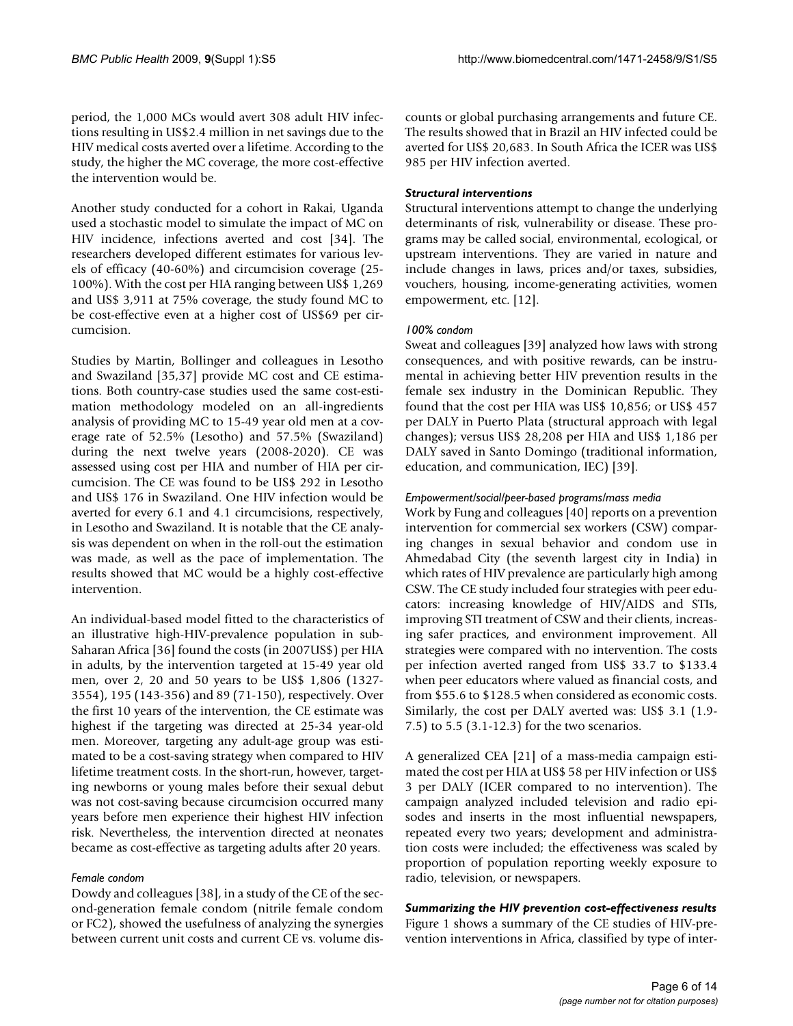period, the 1,000 MCs would avert 308 adult HIV infections resulting in US\$2.4 million in net savings due to the HIV medical costs averted over a lifetime. According to the study, the higher the MC coverage, the more cost-effective the intervention would be.

Another study conducted for a cohort in Rakai, Uganda used a stochastic model to simulate the impact of MC on HIV incidence, infections averted and cost [34]. The researchers developed different estimates for various levels of efficacy (40-60%) and circumcision coverage (25- 100%). With the cost per HIA ranging between US\$ 1,269 and US\$ 3,911 at 75% coverage, the study found MC to be cost-effective even at a higher cost of US\$69 per circumcision.

Studies by Martin, Bollinger and colleagues in Lesotho and Swaziland [35,37] provide MC cost and CE estimations. Both country-case studies used the same cost-estimation methodology modeled on an all-ingredients analysis of providing MC to 15-49 year old men at a coverage rate of 52.5% (Lesotho) and 57.5% (Swaziland) during the next twelve years (2008-2020). CE was assessed using cost per HIA and number of HIA per circumcision. The CE was found to be US\$ 292 in Lesotho and US\$ 176 in Swaziland. One HIV infection would be averted for every 6.1 and 4.1 circumcisions, respectively, in Lesotho and Swaziland. It is notable that the CE analysis was dependent on when in the roll-out the estimation was made, as well as the pace of implementation. The results showed that MC would be a highly cost-effective intervention.

An individual-based model fitted to the characteristics of an illustrative high-HIV-prevalence population in sub-Saharan Africa [36] found the costs (in 2007US\$) per HIA in adults, by the intervention targeted at 15-49 year old men, over 2, 20 and 50 years to be US\$ 1,806 (1327- 3554), 195 (143-356) and 89 (71-150), respectively. Over the first 10 years of the intervention, the CE estimate was highest if the targeting was directed at 25-34 year-old men. Moreover, targeting any adult-age group was estimated to be a cost-saving strategy when compared to HIV lifetime treatment costs. In the short-run, however, targeting newborns or young males before their sexual debut was not cost-saving because circumcision occurred many years before men experience their highest HIV infection risk. Nevertheless, the intervention directed at neonates became as cost-effective as targeting adults after 20 years.

#### *Female condom*

Dowdy and colleagues [38], in a study of the CE of the second-generation female condom (nitrile female condom or FC2), showed the usefulness of analyzing the synergies between current unit costs and current CE vs. volume discounts or global purchasing arrangements and future CE. The results showed that in Brazil an HIV infected could be averted for US\$ 20,683. In South Africa the ICER was US\$ 985 per HIV infection averted.

# *Structural interventions*

Structural interventions attempt to change the underlying determinants of risk, vulnerability or disease. These programs may be called social, environmental, ecological, or upstream interventions. They are varied in nature and include changes in laws, prices and/or taxes, subsidies, vouchers, housing, income-generating activities, women empowerment, etc. [12].

#### *100% condom*

Sweat and colleagues [39] analyzed how laws with strong consequences, and with positive rewards, can be instrumental in achieving better HIV prevention results in the female sex industry in the Dominican Republic. They found that the cost per HIA was US\$ 10,856; or US\$ 457 per DALY in Puerto Plata (structural approach with legal changes); versus US\$ 28,208 per HIA and US\$ 1,186 per DALY saved in Santo Domingo (traditional information, education, and communication, IEC) [39].

# *Empowerment/social/peer-based programs/mass media*

Work by Fung and colleagues [40] reports on a prevention intervention for commercial sex workers (CSW) comparing changes in sexual behavior and condom use in Ahmedabad City (the seventh largest city in India) in which rates of HIV prevalence are particularly high among CSW. The CE study included four strategies with peer educators: increasing knowledge of HIV/AIDS and STIs, improving STI treatment of CSW and their clients, increasing safer practices, and environment improvement. All strategies were compared with no intervention. The costs per infection averted ranged from US\$ 33.7 to \$133.4 when peer educators where valued as financial costs, and from \$55.6 to \$128.5 when considered as economic costs. Similarly, the cost per DALY averted was: US\$ 3.1 (1.9- 7.5) to 5.5 (3.1-12.3) for the two scenarios.

A generalized CEA [21] of a mass-media campaign estimated the cost per HIA at US\$ 58 per HIV infection or US\$ 3 per DALY (ICER compared to no intervention). The campaign analyzed included television and radio episodes and inserts in the most influential newspapers, repeated every two years; development and administration costs were included; the effectiveness was scaled by proportion of population reporting weekly exposure to radio, television, or newspapers.

# *Summarizing the HIV prevention cost-effectiveness results*

Figure 1 shows a summary of the CE studies of HIV-prevention interventions in Africa, classified by type of inter-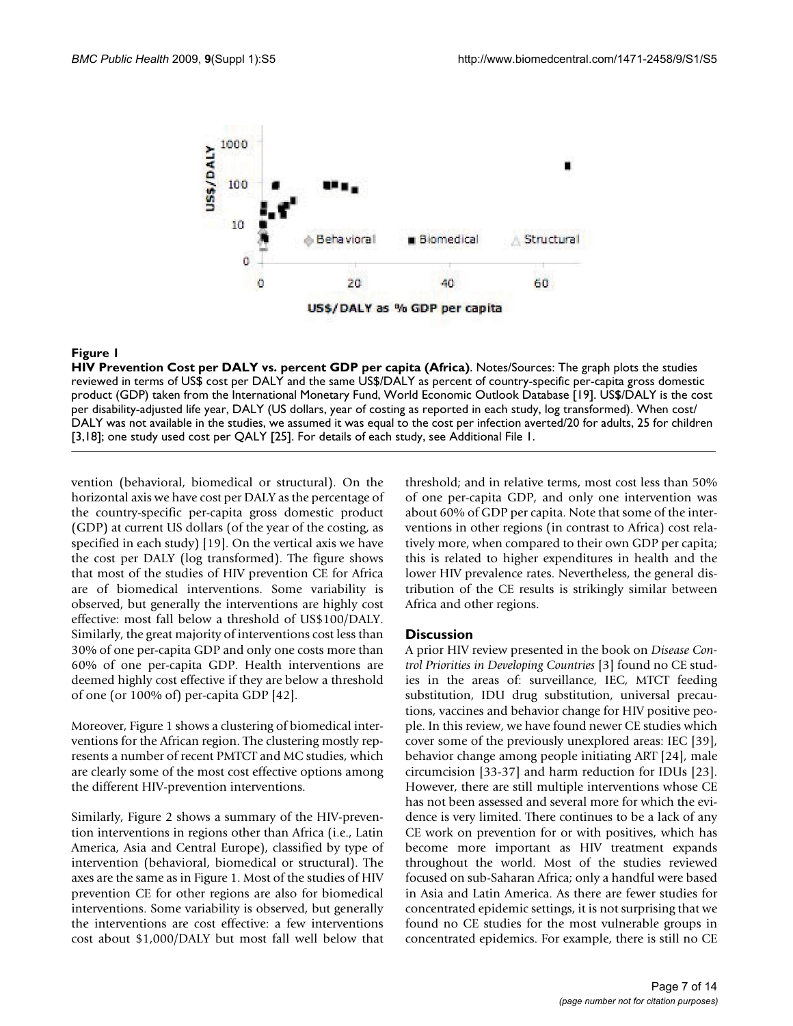

# Figure 1

**HIV Prevention Cost per DALY vs. percent GDP per capita (Africa)**. Notes/Sources: The graph plots the studies reviewed in terms of US\$ cost per DALY and the same US\$/DALY as percent of country-specific per-capita gross domestic product (GDP) taken from the International Monetary Fund, World Economic Outlook Database [19]. US\$/DALY is the cost per disability-adjusted life year, DALY (US dollars, year of costing as reported in each study, log transformed). When cost/ DALY was not available in the studies, we assumed it was equal to the cost per infection averted/20 for adults, 25 for children [3,18]; one study used cost per QALY [25]. For details of each study, see Additional File 1.

vention (behavioral, biomedical or structural). On the horizontal axis we have cost per DALY as the percentage of the country-specific per-capita gross domestic product (GDP) at current US dollars (of the year of the costing, as specified in each study) [19]. On the vertical axis we have the cost per DALY (log transformed). The figure shows that most of the studies of HIV prevention CE for Africa are of biomedical interventions. Some variability is observed, but generally the interventions are highly cost effective: most fall below a threshold of US\$100/DALY. Similarly, the great majority of interventions cost less than 30% of one per-capita GDP and only one costs more than 60% of one per-capita GDP. Health interventions are deemed highly cost effective if they are below a threshold of one (or 100% of) per-capita GDP [42].

Moreover, Figure 1 shows a clustering of biomedical interventions for the African region. The clustering mostly represents a number of recent PMTCT and MC studies, which are clearly some of the most cost effective options among the different HIV-prevention interventions.

Similarly, Figure 2 shows a summary of the HIV-prevention interventions in regions other than Africa (i.e., Latin America, Asia and Central Europe), classified by type of intervention (behavioral, biomedical or structural). The axes are the same as in Figure 1. Most of the studies of HIV prevention CE for other regions are also for biomedical interventions. Some variability is observed, but generally the interventions are cost effective: a few interventions cost about \$1,000/DALY but most fall well below that

threshold; and in relative terms, most cost less than 50% of one per-capita GDP, and only one intervention was about 60% of GDP per capita. Note that some of the interventions in other regions (in contrast to Africa) cost relatively more, when compared to their own GDP per capita; this is related to higher expenditures in health and the lower HIV prevalence rates. Nevertheless, the general distribution of the CE results is strikingly similar between Africa and other regions.

# **Discussion**

A prior HIV review presented in the book on *Disease Control Priorities in Developing Countries* [3] found no CE studies in the areas of: surveillance, IEC, MTCT feeding substitution, IDU drug substitution, universal precautions, vaccines and behavior change for HIV positive people. In this review, we have found newer CE studies which cover some of the previously unexplored areas: IEC [39], behavior change among people initiating ART [24], male circumcision [33-37] and harm reduction for IDUs [23]. However, there are still multiple interventions whose CE has not been assessed and several more for which the evidence is very limited. There continues to be a lack of any CE work on prevention for or with positives, which has become more important as HIV treatment expands throughout the world. Most of the studies reviewed focused on sub-Saharan Africa; only a handful were based in Asia and Latin America. As there are fewer studies for concentrated epidemic settings, it is not surprising that we found no CE studies for the most vulnerable groups in concentrated epidemics. For example, there is still no CE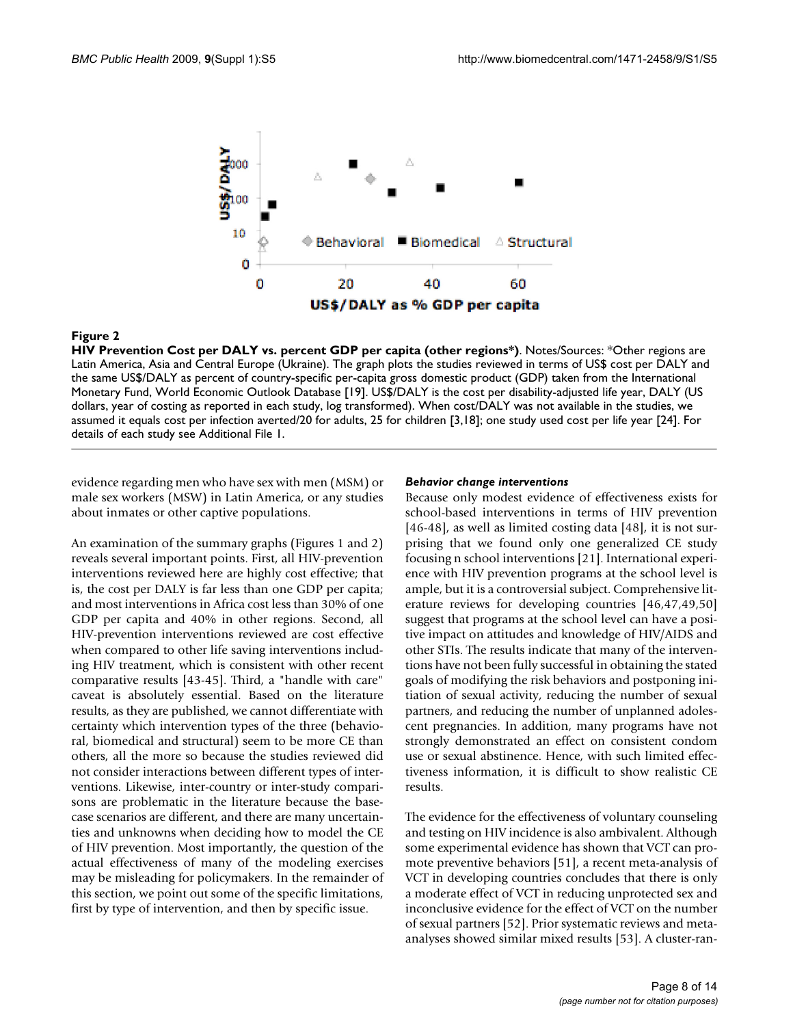

# Figure 2

**HIV Prevention Cost per DALY vs. percent GDP per capita (other regions\*)**. Notes/Sources: \*Other regions are Latin America, Asia and Central Europe (Ukraine). The graph plots the studies reviewed in terms of US\$ cost per DALY and the same US\$/DALY as percent of country-specific per-capita gross domestic product (GDP) taken from the International Monetary Fund, World Economic Outlook Database [19]. US\$/DALY is the cost per disability-adjusted life year, DALY (US dollars, year of costing as reported in each study, log transformed). When cost/DALY was not available in the studies, we assumed it equals cost per infection averted/20 for adults, 25 for children [3,18]; one study used cost per life year [24]. For details of each study see Additional File 1.

evidence regarding men who have sex with men (MSM) or male sex workers (MSW) in Latin America, or any studies about inmates or other captive populations.

An examination of the summary graphs (Figures 1 and 2) reveals several important points. First, all HIV-prevention interventions reviewed here are highly cost effective; that is, the cost per DALY is far less than one GDP per capita; and most interventions in Africa cost less than 30% of one GDP per capita and 40% in other regions. Second, all HIV-prevention interventions reviewed are cost effective when compared to other life saving interventions including HIV treatment, which is consistent with other recent comparative results [43-45]. Third, a "handle with care" caveat is absolutely essential. Based on the literature results, as they are published, we cannot differentiate with certainty which intervention types of the three (behavioral, biomedical and structural) seem to be more CE than others, all the more so because the studies reviewed did not consider interactions between different types of interventions. Likewise, inter-country or inter-study comparisons are problematic in the literature because the basecase scenarios are different, and there are many uncertainties and unknowns when deciding how to model the CE of HIV prevention. Most importantly, the question of the actual effectiveness of many of the modeling exercises may be misleading for policymakers. In the remainder of this section, we point out some of the specific limitations, first by type of intervention, and then by specific issue.

#### *Behavior change interventions*

Because only modest evidence of effectiveness exists for school-based interventions in terms of HIV prevention [46-48], as well as limited costing data [48], it is not surprising that we found only one generalized CE study focusing n school interventions [21]. International experience with HIV prevention programs at the school level is ample, but it is a controversial subject. Comprehensive literature reviews for developing countries [46,47,49,50] suggest that programs at the school level can have a positive impact on attitudes and knowledge of HIV/AIDS and other STIs. The results indicate that many of the interventions have not been fully successful in obtaining the stated goals of modifying the risk behaviors and postponing initiation of sexual activity, reducing the number of sexual partners, and reducing the number of unplanned adolescent pregnancies. In addition, many programs have not strongly demonstrated an effect on consistent condom use or sexual abstinence. Hence, with such limited effectiveness information, it is difficult to show realistic CE results.

The evidence for the effectiveness of voluntary counseling and testing on HIV incidence is also ambivalent. Although some experimental evidence has shown that VCT can promote preventive behaviors [51], a recent meta-analysis of VCT in developing countries concludes that there is only a moderate effect of VCT in reducing unprotected sex and inconclusive evidence for the effect of VCT on the number of sexual partners [52]. Prior systematic reviews and metaanalyses showed similar mixed results [53]. A cluster-ran-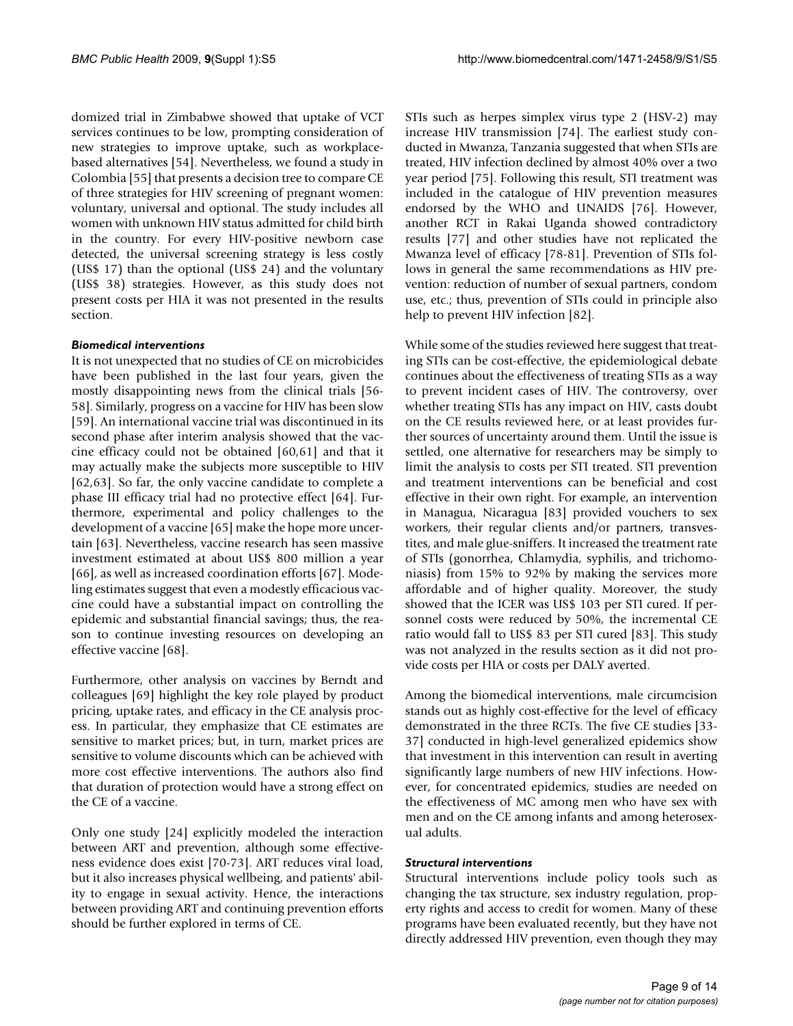domized trial in Zimbabwe showed that uptake of VCT services continues to be low, prompting consideration of new strategies to improve uptake, such as workplacebased alternatives [54]. Nevertheless, we found a study in Colombia [55] that presents a decision tree to compare CE of three strategies for HIV screening of pregnant women: voluntary, universal and optional. The study includes all women with unknown HIV status admitted for child birth in the country. For every HIV-positive newborn case detected, the universal screening strategy is less costly (US\$ 17) than the optional (US\$ 24) and the voluntary (US\$ 38) strategies. However, as this study does not present costs per HIA it was not presented in the results section.

#### *Biomedical interventions*

It is not unexpected that no studies of CE on microbicides have been published in the last four years, given the mostly disappointing news from the clinical trials [56- 58]. Similarly, progress on a vaccine for HIV has been slow [59]. An international vaccine trial was discontinued in its second phase after interim analysis showed that the vaccine efficacy could not be obtained [60,61] and that it may actually make the subjects more susceptible to HIV [62,63]. So far, the only vaccine candidate to complete a phase III efficacy trial had no protective effect [64]. Furthermore, experimental and policy challenges to the development of a vaccine [65] make the hope more uncertain [63]. Nevertheless, vaccine research has seen massive investment estimated at about US\$ 800 million a year [66], as well as increased coordination efforts [67]. Modeling estimates suggest that even a modestly efficacious vaccine could have a substantial impact on controlling the epidemic and substantial financial savings; thus, the reason to continue investing resources on developing an effective vaccine [68].

Furthermore, other analysis on vaccines by Berndt and colleagues [69] highlight the key role played by product pricing, uptake rates, and efficacy in the CE analysis process. In particular, they emphasize that CE estimates are sensitive to market prices; but, in turn, market prices are sensitive to volume discounts which can be achieved with more cost effective interventions. The authors also find that duration of protection would have a strong effect on the CE of a vaccine.

Only one study [24] explicitly modeled the interaction between ART and prevention, although some effectiveness evidence does exist [70-73]. ART reduces viral load, but it also increases physical wellbeing, and patients' ability to engage in sexual activity. Hence, the interactions between providing ART and continuing prevention efforts should be further explored in terms of CE.

STIs such as herpes simplex virus type 2 (HSV-2) may increase HIV transmission [74]. The earliest study conducted in Mwanza, Tanzania suggested that when STIs are treated, HIV infection declined by almost 40% over a two year period [75]. Following this result, STI treatment was included in the catalogue of HIV prevention measures endorsed by the WHO and UNAIDS [76]. However, another RCT in Rakai Uganda showed contradictory results [77] and other studies have not replicated the Mwanza level of efficacy [78-81]. Prevention of STIs follows in general the same recommendations as HIV prevention: reduction of number of sexual partners, condom use, etc.; thus, prevention of STIs could in principle also help to prevent HIV infection [82].

While some of the studies reviewed here suggest that treating STIs can be cost-effective, the epidemiological debate continues about the effectiveness of treating STIs as a way to prevent incident cases of HIV. The controversy, over whether treating STIs has any impact on HIV, casts doubt on the CE results reviewed here, or at least provides further sources of uncertainty around them. Until the issue is settled, one alternative for researchers may be simply to limit the analysis to costs per STI treated. STI prevention and treatment interventions can be beneficial and cost effective in their own right. For example, an intervention in Managua, Nicaragua [83] provided vouchers to sex workers, their regular clients and/or partners, transvestites, and male glue-sniffers. It increased the treatment rate of STIs (gonorrhea, Chlamydia, syphilis, and trichomoniasis) from 15% to 92% by making the services more affordable and of higher quality. Moreover, the study showed that the ICER was US\$ 103 per STI cured. If personnel costs were reduced by 50%, the incremental CE ratio would fall to US\$ 83 per STI cured [83]. This study was not analyzed in the results section as it did not provide costs per HIA or costs per DALY averted.

Among the biomedical interventions, male circumcision stands out as highly cost-effective for the level of efficacy demonstrated in the three RCTs. The five CE studies [33- 37] conducted in high-level generalized epidemics show that investment in this intervention can result in averting significantly large numbers of new HIV infections. However, for concentrated epidemics, studies are needed on the effectiveness of MC among men who have sex with men and on the CE among infants and among heterosexual adults.

#### *Structural interventions*

Structural interventions include policy tools such as changing the tax structure, sex industry regulation, property rights and access to credit for women. Many of these programs have been evaluated recently, but they have not directly addressed HIV prevention, even though they may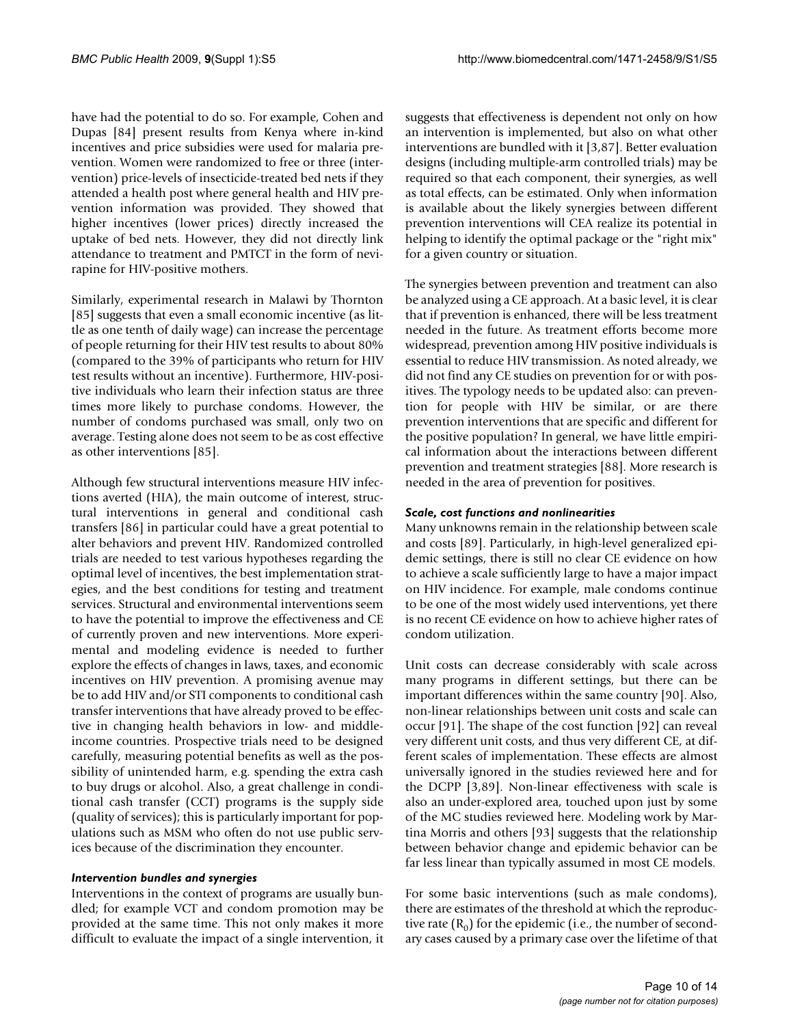have had the potential to do so. For example, Cohen and Dupas [84] present results from Kenya where in-kind incentives and price subsidies were used for malaria prevention. Women were randomized to free or three (intervention) price-levels of insecticide-treated bed nets if they attended a health post where general health and HIV prevention information was provided. They showed that higher incentives (lower prices) directly increased the uptake of bed nets. However, they did not directly link attendance to treatment and PMTCT in the form of nevirapine for HIV-positive mothers.

Similarly, experimental research in Malawi by Thornton [85] suggests that even a small economic incentive (as little as one tenth of daily wage) can increase the percentage of people returning for their HIV test results to about 80% (compared to the 39% of participants who return for HIV test results without an incentive). Furthermore, HIV-positive individuals who learn their infection status are three times more likely to purchase condoms. However, the number of condoms purchased was small, only two on average. Testing alone does not seem to be as cost effective as other interventions [85].

Although few structural interventions measure HIV infections averted (HIA), the main outcome of interest, structural interventions in general and conditional cash transfers [86] in particular could have a great potential to alter behaviors and prevent HIV. Randomized controlled trials are needed to test various hypotheses regarding the optimal level of incentives, the best implementation strategies, and the best conditions for testing and treatment services. Structural and environmental interventions seem to have the potential to improve the effectiveness and CE of currently proven and new interventions. More experimental and modeling evidence is needed to further explore the effects of changes in laws, taxes, and economic incentives on HIV prevention. A promising avenue may be to add HIV and/or STI components to conditional cash transfer interventions that have already proved to be effective in changing health behaviors in low- and middleincome countries. Prospective trials need to be designed carefully, measuring potential benefits as well as the possibility of unintended harm, e.g. spending the extra cash to buy drugs or alcohol. Also, a great challenge in conditional cash transfer (CCT) programs is the supply side (quality of services); this is particularly important for populations such as MSM who often do not use public services because of the discrimination they encounter.

# *Intervention bundles and synergies*

Interventions in the context of programs are usually bundled; for example VCT and condom promotion may be provided at the same time. This not only makes it more difficult to evaluate the impact of a single intervention, it suggests that effectiveness is dependent not only on how an intervention is implemented, but also on what other interventions are bundled with it [3,87]. Better evaluation designs (including multiple-arm controlled trials) may be required so that each component, their synergies, as well as total effects, can be estimated. Only when information is available about the likely synergies between different prevention interventions will CEA realize its potential in helping to identify the optimal package or the "right mix" for a given country or situation.

The synergies between prevention and treatment can also be analyzed using a CE approach. At a basic level, it is clear that if prevention is enhanced, there will be less treatment needed in the future. As treatment efforts become more widespread, prevention among HIV positive individuals is essential to reduce HIV transmission. As noted already, we did not find any CE studies on prevention for or with positives. The typology needs to be updated also: can prevention for people with HIV be similar, or are there prevention interventions that are specific and different for the positive population? In general, we have little empirical information about the interactions between different prevention and treatment strategies [88]. More research is needed in the area of prevention for positives.

#### *Scale, cost functions and nonlinearities*

Many unknowns remain in the relationship between scale and costs [89]. Particularly, in high-level generalized epidemic settings, there is still no clear CE evidence on how to achieve a scale sufficiently large to have a major impact on HIV incidence. For example, male condoms continue to be one of the most widely used interventions, yet there is no recent CE evidence on how to achieve higher rates of condom utilization.

Unit costs can decrease considerably with scale across many programs in different settings, but there can be important differences within the same country [90]. Also, non-linear relationships between unit costs and scale can occur [91]. The shape of the cost function [92] can reveal very different unit costs, and thus very different CE, at different scales of implementation. These effects are almost universally ignored in the studies reviewed here and for the DCPP [3,89]. Non-linear effectiveness with scale is also an under-explored area, touched upon just by some of the MC studies reviewed here. Modeling work by Martina Morris and others [93] suggests that the relationship between behavior change and epidemic behavior can be far less linear than typically assumed in most CE models.

For some basic interventions (such as male condoms), there are estimates of the threshold at which the reproductive rate  $(R_0)$  for the epidemic (i.e., the number of secondary cases caused by a primary case over the lifetime of that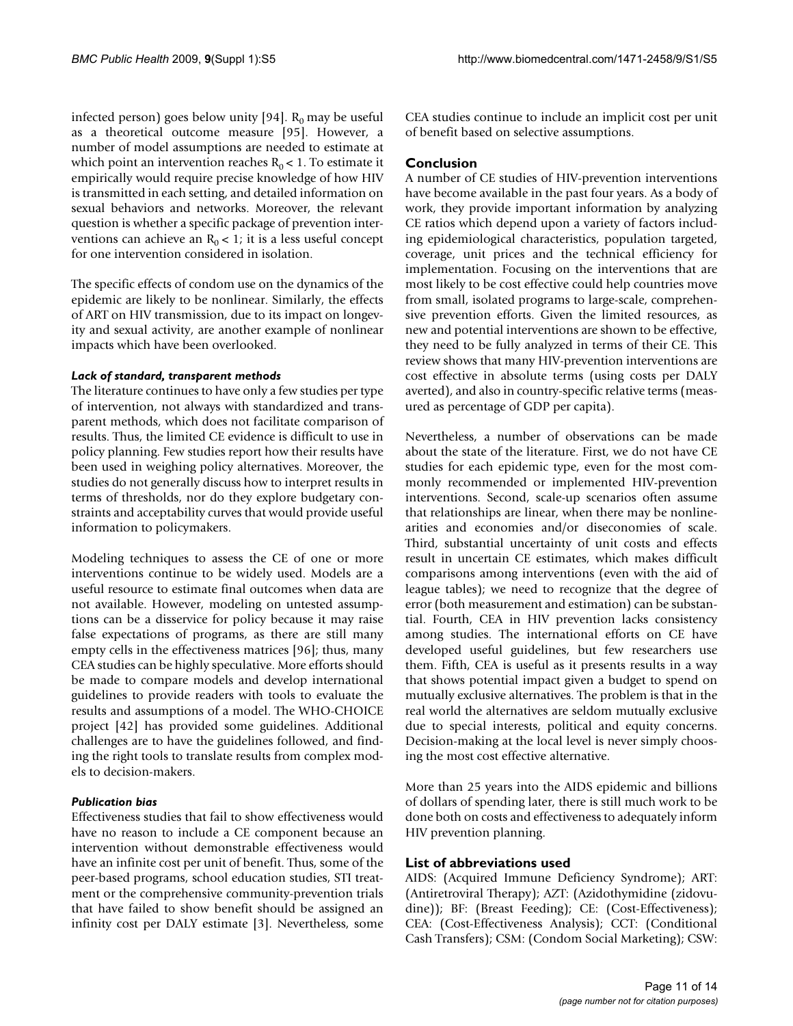infected person) goes below unity [94].  $R_0$  may be useful as a theoretical outcome measure [95]. However, a number of model assumptions are needed to estimate at which point an intervention reaches  $R_0 < 1$ . To estimate it empirically would require precise knowledge of how HIV is transmitted in each setting, and detailed information on sexual behaviors and networks. Moreover, the relevant question is whether a specific package of prevention interventions can achieve an  $R_0 < 1$ ; it is a less useful concept for one intervention considered in isolation.

The specific effects of condom use on the dynamics of the epidemic are likely to be nonlinear. Similarly, the effects of ART on HIV transmission, due to its impact on longevity and sexual activity, are another example of nonlinear impacts which have been overlooked.

#### *Lack of standard, transparent methods*

The literature continues to have only a few studies per type of intervention, not always with standardized and transparent methods, which does not facilitate comparison of results. Thus, the limited CE evidence is difficult to use in policy planning. Few studies report how their results have been used in weighing policy alternatives. Moreover, the studies do not generally discuss how to interpret results in terms of thresholds, nor do they explore budgetary constraints and acceptability curves that would provide useful information to policymakers.

Modeling techniques to assess the CE of one or more interventions continue to be widely used. Models are a useful resource to estimate final outcomes when data are not available. However, modeling on untested assumptions can be a disservice for policy because it may raise false expectations of programs, as there are still many empty cells in the effectiveness matrices [96]; thus, many CEA studies can be highly speculative. More efforts should be made to compare models and develop international guidelines to provide readers with tools to evaluate the results and assumptions of a model. The WHO-CHOICE project [42] has provided some guidelines. Additional challenges are to have the guidelines followed, and finding the right tools to translate results from complex models to decision-makers.

# *Publication bias*

Effectiveness studies that fail to show effectiveness would have no reason to include a CE component because an intervention without demonstrable effectiveness would have an infinite cost per unit of benefit. Thus, some of the peer-based programs, school education studies, STI treatment or the comprehensive community-prevention trials that have failed to show benefit should be assigned an infinity cost per DALY estimate [3]. Nevertheless, some CEA studies continue to include an implicit cost per unit of benefit based on selective assumptions.

# **Conclusion**

A number of CE studies of HIV-prevention interventions have become available in the past four years. As a body of work, they provide important information by analyzing CE ratios which depend upon a variety of factors including epidemiological characteristics, population targeted, coverage, unit prices and the technical efficiency for implementation. Focusing on the interventions that are most likely to be cost effective could help countries move from small, isolated programs to large-scale, comprehensive prevention efforts. Given the limited resources, as new and potential interventions are shown to be effective, they need to be fully analyzed in terms of their CE. This review shows that many HIV-prevention interventions are cost effective in absolute terms (using costs per DALY averted), and also in country-specific relative terms (measured as percentage of GDP per capita).

Nevertheless, a number of observations can be made about the state of the literature. First, we do not have CE studies for each epidemic type, even for the most commonly recommended or implemented HIV-prevention interventions. Second, scale-up scenarios often assume that relationships are linear, when there may be nonlinearities and economies and/or diseconomies of scale. Third, substantial uncertainty of unit costs and effects result in uncertain CE estimates, which makes difficult comparisons among interventions (even with the aid of league tables); we need to recognize that the degree of error (both measurement and estimation) can be substantial. Fourth, CEA in HIV prevention lacks consistency among studies. The international efforts on CE have developed useful guidelines, but few researchers use them. Fifth, CEA is useful as it presents results in a way that shows potential impact given a budget to spend on mutually exclusive alternatives. The problem is that in the real world the alternatives are seldom mutually exclusive due to special interests, political and equity concerns. Decision-making at the local level is never simply choosing the most cost effective alternative.

More than 25 years into the AIDS epidemic and billions of dollars of spending later, there is still much work to be done both on costs and effectiveness to adequately inform HIV prevention planning.

# **List of abbreviations used**

AIDS: (Acquired Immune Deficiency Syndrome); ART: (Antiretroviral Therapy); AZT: (Azidothymidine (zidovudine)); BF: (Breast Feeding); CE: (Cost-Effectiveness); CEA: (Cost-Effectiveness Analysis); CCT: (Conditional Cash Transfers); CSM: (Condom Social Marketing); CSW: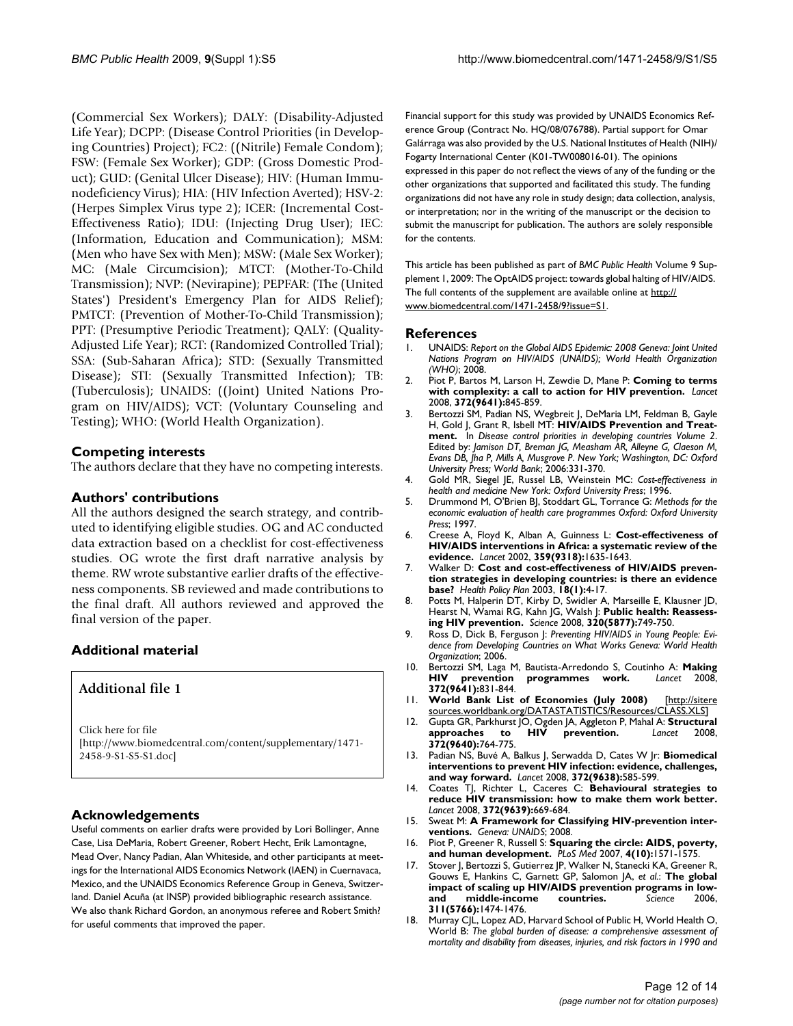(Commercial Sex Workers); DALY: (Disability-Adjusted Life Year); DCPP: (Disease Control Priorities (in Developing Countries) Project); FC2: ((Nitrile) Female Condom); FSW: (Female Sex Worker); GDP: (Gross Domestic Product); GUD: (Genital Ulcer Disease); HIV: (Human Immunodeficiency Virus); HIA: (HIV Infection Averted); HSV-2: (Herpes Simplex Virus type 2); ICER: (Incremental Cost-Effectiveness Ratio); IDU: (Injecting Drug User); IEC: (Information, Education and Communication); MSM: (Men who have Sex with Men); MSW: (Male Sex Worker); MC: (Male Circumcision); MTCT: (Mother-To-Child Transmission); NVP: (Nevirapine); PEPFAR: (The (United States') President's Emergency Plan for AIDS Relief); PMTCT: (Prevention of Mother-To-Child Transmission); PPT: (Presumptive Periodic Treatment); QALY: (Quality-Adjusted Life Year); RCT: (Randomized Controlled Trial); SSA: (Sub-Saharan Africa); STD: (Sexually Transmitted Disease); STI: (Sexually Transmitted Infection); TB: (Tuberculosis); UNAIDS: ((Joint) United Nations Program on HIV/AIDS); VCT: (Voluntary Counseling and Testing); WHO: (World Health Organization).

# **Competing interests**

The authors declare that they have no competing interests.

# **Authors' contributions**

All the authors designed the search strategy, and contributed to identifying eligible studies. OG and AC conducted data extraction based on a checklist for cost-effectiveness studies. OG wrote the first draft narrative analysis by theme. RW wrote substantive earlier drafts of the effectiveness components. SB reviewed and made contributions to the final draft. All authors reviewed and approved the final version of the paper.

# **Additional material**

# **Additional file 1**

Click here for file [\[http://www.biomedcentral.com/content/supplementary/1471-](http://www.biomedcentral.com/content/supplementary/1471-2458-9-S1-S5-S1.doc) 2458-9-S1-S5-S1.doc]

#### **Acknowledgements**

Useful comments on earlier drafts were provided by Lori Bollinger, Anne Case, Lisa DeMaria, Robert Greener, Robert Hecht, Erik Lamontagne, Mead Over, Nancy Padian, Alan Whiteside, and other participants at meetings for the International AIDS Economics Network (IAEN) in Cuernavaca, Mexico, and the UNAIDS Economics Reference Group in Geneva, Switzerland. Daniel Acuña (at INSP) provided bibliographic research assistance. We also thank Richard Gordon, an anonymous referee and Robert Smith? for useful comments that improved the paper.

Financial support for this study was provided by UNAIDS Economics Reference Group (Contract No. HQ/08/076788). Partial support for Omar Galárraga was also provided by the U.S. National Institutes of Health (NIH)/ Fogarty International Center (K01-TW008016-01). The opinions expressed in this paper do not reflect the views of any of the funding or the other organizations that supported and facilitated this study. The funding organizations did not have any role in study design; data collection, analysis, or interpretation; nor in the writing of the manuscript or the decision to submit the manuscript for publication. The authors are solely responsible for the contents.

This article has been published as part of *BMC Public Health* Volume 9 Supplement 1, 2009: The OptAIDS project: towards global halting of HIV/AIDS. The full contents of the supplement are available online at [http://](http://www.biomedcentral.com/1471-2458/9?issue=S1) [www.biomedcentral.com/1471-2458/9?issue=S1](http://www.biomedcentral.com/1471-2458/9?issue=S1).

#### **References**

- 1. UNAIDS: *Report on the Global AIDS Epidemic: 2008 Geneva: Joint United Nations Program on HIV/AIDS (UNAIDS); World Health Organization (WHO)*; 2008.
- 2. Piot P, Bartos M, Larson H, Zewdie D, Mane P: **[Coming to terms](http://www.ncbi.nlm.nih.gov/entrez/query.fcgi?cmd=Retrieve&db=PubMed&dopt=Abstract&list_uids=18687458) [with complexity: a call to action for HIV prevention.](http://www.ncbi.nlm.nih.gov/entrez/query.fcgi?cmd=Retrieve&db=PubMed&dopt=Abstract&list_uids=18687458)** *Lancet* 2008, **372(9641):**845-859.
- 3. Bertozzi SM, Padian NS, Wegbreit J, DeMaria LM, Feldman B, Gayle H, Gold J, Grant R, Isbell MT: **HIV/AIDS Prevention and Treatment.** In *Disease control priorities in developing countries Volume 2*. Edited by: *Jamison DT, Breman JG, Measham AR, Alleyne G, Claeson M, Evans DB, Jha P, Mills A, Musgrove P*. *New York; Washington, DC: Oxford University Press; World Bank*; 2006:331-370.
- 4. Gold MR, Siegel JE, Russel LB, Weinstein MC: *Cost-effectiveness in health and medicine New York: Oxford University Press*; 1996.
- 5. Drummond M, O'Brien BJ, Stoddart GL, Torrance G: *Methods for the economic evaluation of health care programmes Oxford: Oxford University Press*; 1997.
- 6. Creese A, Floyd K, Alban A, Guinness L: **[Cost-effectiveness of](http://www.ncbi.nlm.nih.gov/entrez/query.fcgi?cmd=Retrieve&db=PubMed&dopt=Abstract&list_uids=12020523) [HIV/AIDS interventions in Africa: a systematic review of the](http://www.ncbi.nlm.nih.gov/entrez/query.fcgi?cmd=Retrieve&db=PubMed&dopt=Abstract&list_uids=12020523) [evidence.](http://www.ncbi.nlm.nih.gov/entrez/query.fcgi?cmd=Retrieve&db=PubMed&dopt=Abstract&list_uids=12020523)** *Lancet* 2002, **359(9318):**1635-1643.
- 7. Walker D: **[Cost and cost-effectiveness of HIV/AIDS preven](http://www.ncbi.nlm.nih.gov/entrez/query.fcgi?cmd=Retrieve&db=PubMed&dopt=Abstract&list_uids=12582104)[tion strategies in developing countries: is there an evidence](http://www.ncbi.nlm.nih.gov/entrez/query.fcgi?cmd=Retrieve&db=PubMed&dopt=Abstract&list_uids=12582104) [base?](http://www.ncbi.nlm.nih.gov/entrez/query.fcgi?cmd=Retrieve&db=PubMed&dopt=Abstract&list_uids=12582104)** *Health Policy Plan* 2003, **18(1):**4-17.
- 8. Potts M, Halperin DT, Kirby D, Swidler A, Marseille E, Klausner JD, Hearst N, Wamai RG, Kahn JG, Walsh J: **[Public health: Reassess](http://www.ncbi.nlm.nih.gov/entrez/query.fcgi?cmd=Retrieve&db=PubMed&dopt=Abstract&list_uids=18467575)[ing HIV prevention.](http://www.ncbi.nlm.nih.gov/entrez/query.fcgi?cmd=Retrieve&db=PubMed&dopt=Abstract&list_uids=18467575)** *Science* 2008, **320(5877):**749-750.
- 9. Ross D, Dick B, Ferguson J: *Preventing HIV/AIDS in Young People: Evidence from Developing Countries on What Works Geneva: World Health Organization*; 2006.
- 10. Bertozzi SM, Laga M, Bautista-Arredondo S, Coutinho A: **[Making](http://www.ncbi.nlm.nih.gov/entrez/query.fcgi?cmd=Retrieve&db=PubMed&dopt=Abstract&list_uids=18687457) [HIV prevention programmes work.](http://www.ncbi.nlm.nih.gov/entrez/query.fcgi?cmd=Retrieve&db=PubMed&dopt=Abstract&list_uids=18687457)** *Lancet* 2008, **372(9641):**831-844.
- 11. **World Bank List of Economies (July 2008)** [\[http://sitere](http://siteresources.worldbank.org/DATASTATISTICS/Resources/CLASS.XLS) [sources.worldbank.org/DATASTATISTICS/Resources/CLASS.XLS\]](http://siteresources.worldbank.org/DATASTATISTICS/Resources/CLASS.XLS)
- 12. Gupta GR, Parkhurst JO, Ogden JA, Aggleton P, Mahal A: **[Structural](http://www.ncbi.nlm.nih.gov/entrez/query.fcgi?cmd=Retrieve&db=PubMed&dopt=Abstract&list_uids=18687460) [approaches to HIV prevention.](http://www.ncbi.nlm.nih.gov/entrez/query.fcgi?cmd=Retrieve&db=PubMed&dopt=Abstract&list_uids=18687460)** *Lancet* 2008, **372(9640):**764-775.
- 13. Padian NS, Buvé A, Balkus J, Serwadda D, Cates W Jr: **[Biomedical](http://www.ncbi.nlm.nih.gov/entrez/query.fcgi?cmd=Retrieve&db=PubMed&dopt=Abstract&list_uids=18687456) [interventions to prevent HIV infection: evidence, challenges,](http://www.ncbi.nlm.nih.gov/entrez/query.fcgi?cmd=Retrieve&db=PubMed&dopt=Abstract&list_uids=18687456) [and way forward.](http://www.ncbi.nlm.nih.gov/entrez/query.fcgi?cmd=Retrieve&db=PubMed&dopt=Abstract&list_uids=18687456)** *Lancet* 2008, **372(9638):**585-599.
- 14. Coates TJ, Richter L, Caceres C: **[Behavioural strategies to](http://www.ncbi.nlm.nih.gov/entrez/query.fcgi?cmd=Retrieve&db=PubMed&dopt=Abstract&list_uids=18687459) [reduce HIV transmission: how to make them work better.](http://www.ncbi.nlm.nih.gov/entrez/query.fcgi?cmd=Retrieve&db=PubMed&dopt=Abstract&list_uids=18687459)** *Lancet* 2008, **372(9639):**669-684.
- 15. Sweat M: **A Framework for Classifying HIV-prevention interventions.** *Geneva: UNAIDS*; 2008.
- 16. Piot P, Greener R, Russell S: **[Squaring the circle: AIDS, poverty,](http://www.ncbi.nlm.nih.gov/entrez/query.fcgi?cmd=Retrieve&db=PubMed&dopt=Abstract&list_uids=17958469) [and human development.](http://www.ncbi.nlm.nih.gov/entrez/query.fcgi?cmd=Retrieve&db=PubMed&dopt=Abstract&list_uids=17958469)** *PLoS Med* 2007, **4(10):**1571-1575.
- 17. Stover J, Bertozzi S, Gutierrez JP, Walker N, Stanecki KA, Greener R, Gouws E, Hankins C, Garnett GP, Salomon JA, *et al.*: **[The global](http://www.ncbi.nlm.nih.gov/entrez/query.fcgi?cmd=Retrieve&db=PubMed&dopt=Abstract&list_uids=16456039) [impact of scaling up HIV/AIDS prevention programs in low](http://www.ncbi.nlm.nih.gov/entrez/query.fcgi?cmd=Retrieve&db=PubMed&dopt=Abstract&list_uids=16456039)[and middle-income countries.](http://www.ncbi.nlm.nih.gov/entrez/query.fcgi?cmd=Retrieve&db=PubMed&dopt=Abstract&list_uids=16456039)** *Science* 2006, **311(5766):**1474-1476.
- 18. Murray CJL, Lopez AD, Harvard School of Public H, World Health O, World B: *The global burden of disease: a comprehensive assessment of mortality and disability from diseases, injuries, and risk factors in 1990 and*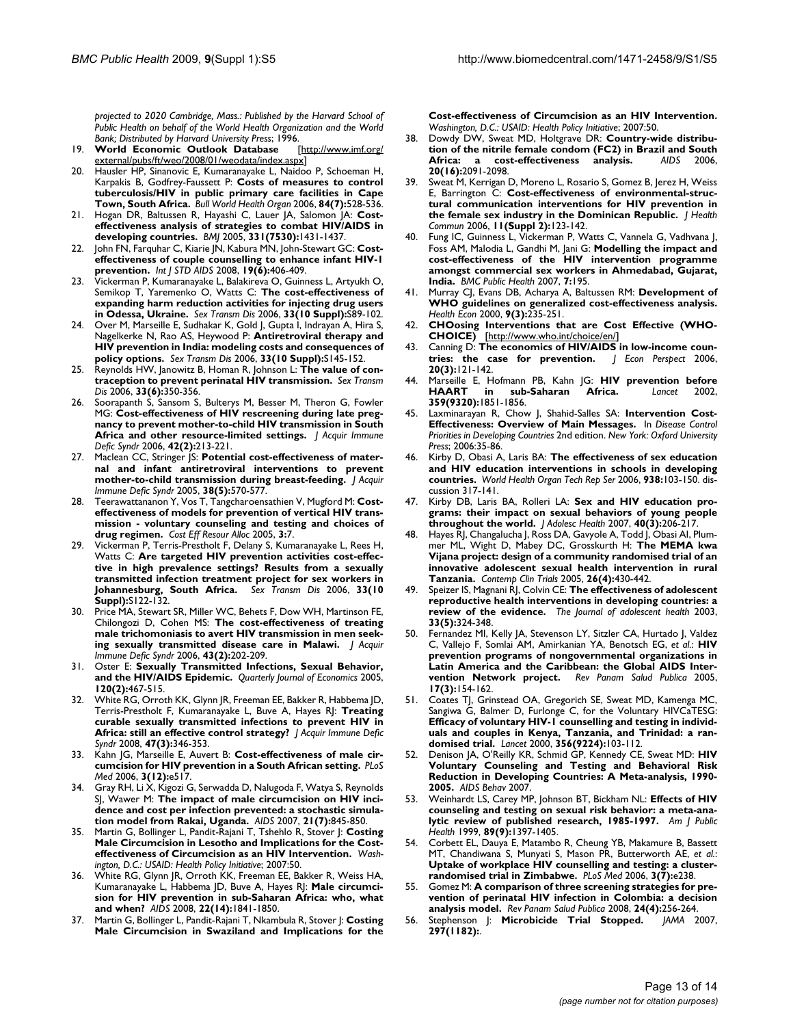*projected to 2020 Cambridge, Mass.: Published by the Harvard School of Public Health on behalf of the World Health Organization and the World Bank; Distributed by Harvard University Press*; 1996.

- 19. **World Economic Outlook Database** [[http://www.imf.org/](http://www.imf.org/external/pubs/ft/weo/2008/01/weodata/index.aspx) [external/pubs/ft/weo/2008/01/weodata/index.aspx\]](http://www.imf.org/external/pubs/ft/weo/2008/01/weodata/index.aspx)
- 20. Hausler HP, Sinanovic E, Kumaranayake L, Naidoo P, Schoeman H, Karpakis B, Godfrey-Faussett P: **[Costs of measures to control](http://www.ncbi.nlm.nih.gov/entrez/query.fcgi?cmd=Retrieve&db=PubMed&dopt=Abstract&list_uids=16878226) [tuberculosis/HIV in public primary care facilities in Cape](http://www.ncbi.nlm.nih.gov/entrez/query.fcgi?cmd=Retrieve&db=PubMed&dopt=Abstract&list_uids=16878226) [Town, South Africa.](http://www.ncbi.nlm.nih.gov/entrez/query.fcgi?cmd=Retrieve&db=PubMed&dopt=Abstract&list_uids=16878226)** *Bull World Health Organ* 2006, **84(7):**528-536.
- 21. Hogan DR, Baltussen R, Hayashi C, Lauer JA, Salomon JA: **[Cost](http://www.ncbi.nlm.nih.gov/entrez/query.fcgi?cmd=Retrieve&db=PubMed&dopt=Abstract&list_uids=16282380)[effectiveness analysis of strategies to combat HIV/AIDS in](http://www.ncbi.nlm.nih.gov/entrez/query.fcgi?cmd=Retrieve&db=PubMed&dopt=Abstract&list_uids=16282380) [developing countries.](http://www.ncbi.nlm.nih.gov/entrez/query.fcgi?cmd=Retrieve&db=PubMed&dopt=Abstract&list_uids=16282380)** *BMJ* 2005, **331(7530):**1431-1437.
- 22. John FN, Farquhar C, Kiarie JN, Kabura MN, John-Stewart GC: **[Cost](http://www.ncbi.nlm.nih.gov/entrez/query.fcgi?cmd=Retrieve&db=PubMed&dopt=Abstract&list_uids=18595879)[effectiveness of couple counselling to enhance infant HIV-1](http://www.ncbi.nlm.nih.gov/entrez/query.fcgi?cmd=Retrieve&db=PubMed&dopt=Abstract&list_uids=18595879) [prevention.](http://www.ncbi.nlm.nih.gov/entrez/query.fcgi?cmd=Retrieve&db=PubMed&dopt=Abstract&list_uids=18595879)** *Int J STD AIDS* 2008, **19(6):**406-409.
- 23. Vickerman P, Kumaranayake L, Balakireva O, Guinness L, Artyukh O, Semikop T, Yaremenko O, Watts C: **[The cost-effectiveness of](http://www.ncbi.nlm.nih.gov/entrez/query.fcgi?cmd=Retrieve&db=PubMed&dopt=Abstract&list_uids=16735956) [expanding harm reduction activities for injecting drug users](http://www.ncbi.nlm.nih.gov/entrez/query.fcgi?cmd=Retrieve&db=PubMed&dopt=Abstract&list_uids=16735956) [in Odessa, Ukraine.](http://www.ncbi.nlm.nih.gov/entrez/query.fcgi?cmd=Retrieve&db=PubMed&dopt=Abstract&list_uids=16735956)** *Sex Transm Dis* 2006, **33(10 Suppl):**S89-102.
- 24. Over M, Marseille E, Sudhakar K, Gold J, Gupta I, Indrayan A, Hira S, Nagelkerke N, Rao AS, Heywood P: **[Antiretroviral therapy and](http://www.ncbi.nlm.nih.gov/entrez/query.fcgi?cmd=Retrieve&db=PubMed&dopt=Abstract&list_uids=17003679) [HIV prevention in India: modeling costs and consequences of](http://www.ncbi.nlm.nih.gov/entrez/query.fcgi?cmd=Retrieve&db=PubMed&dopt=Abstract&list_uids=17003679) [policy options.](http://www.ncbi.nlm.nih.gov/entrez/query.fcgi?cmd=Retrieve&db=PubMed&dopt=Abstract&list_uids=17003679)** *Sex Transm Dis* 2006, **33(10 Suppl):**S145-152.
- 25. Reynolds HW, Janowitz B, Homan R, Johnson L: **[The value of con](http://www.ncbi.nlm.nih.gov/entrez/query.fcgi?cmd=Retrieve&db=PubMed&dopt=Abstract&list_uids=16505747)[traception to prevent perinatal HIV transmission.](http://www.ncbi.nlm.nih.gov/entrez/query.fcgi?cmd=Retrieve&db=PubMed&dopt=Abstract&list_uids=16505747)** *Sex Transm Dis* 2006, **33(6):**350-356.
- 26. Soorapanth S, Sansom S, Bulterys M, Besser M, Theron G, Fowler MG: **[Cost-effectiveness of HIV rescreening during late preg](http://www.ncbi.nlm.nih.gov/entrez/query.fcgi?cmd=Retrieve&db=PubMed&dopt=Abstract&list_uids=16639346)[nancy to prevent mother-to-child HIV transmission in South](http://www.ncbi.nlm.nih.gov/entrez/query.fcgi?cmd=Retrieve&db=PubMed&dopt=Abstract&list_uids=16639346) [Africa and other resource-limited settings.](http://www.ncbi.nlm.nih.gov/entrez/query.fcgi?cmd=Retrieve&db=PubMed&dopt=Abstract&list_uids=16639346)** *J Acquir Immune Defic Syndr* 2006, **42(2):**213-221.
- 27. Maclean CC, Stringer JS: **[Potential cost-effectiveness of mater](http://www.ncbi.nlm.nih.gov/entrez/query.fcgi?cmd=Retrieve&db=PubMed&dopt=Abstract&list_uids=15793368)[nal and infant antiretroviral interventions to prevent](http://www.ncbi.nlm.nih.gov/entrez/query.fcgi?cmd=Retrieve&db=PubMed&dopt=Abstract&list_uids=15793368) [mother-to-child transmission during breast-feeding.](http://www.ncbi.nlm.nih.gov/entrez/query.fcgi?cmd=Retrieve&db=PubMed&dopt=Abstract&list_uids=15793368)** *J Acquir Immune Defic Syndr* 2005, **38(5):**570-577.
- 28. Teerawattananon Y, Vos T, Tangcharoensathien V, Mugford M: **[Cost](http://www.ncbi.nlm.nih.gov/entrez/query.fcgi?cmd=Retrieve&db=PubMed&dopt=Abstract&list_uids=16026626)[effectiveness of models for prevention of vertical HIV trans](http://www.ncbi.nlm.nih.gov/entrez/query.fcgi?cmd=Retrieve&db=PubMed&dopt=Abstract&list_uids=16026626)mission - voluntary counseling and testing and choices of [drug regimen.](http://www.ncbi.nlm.nih.gov/entrez/query.fcgi?cmd=Retrieve&db=PubMed&dopt=Abstract&list_uids=16026626)** *Cost Eff Resour Alloc* 2005, **3:**7.
- 29. Vickerman P, Terris-Prestholt F, Delany S, Kumaranayake L, Rees H, Watts C: **[Are targeted HIV prevention activities cost-effec](http://www.ncbi.nlm.nih.gov/entrez/query.fcgi?cmd=Retrieve&db=PubMed&dopt=Abstract&list_uids=16735954)[tive in high prevalence settings? Results from a sexually](http://www.ncbi.nlm.nih.gov/entrez/query.fcgi?cmd=Retrieve&db=PubMed&dopt=Abstract&list_uids=16735954) transmitted infection treatment project for sex workers in [Johannesburg, South Africa.](http://www.ncbi.nlm.nih.gov/entrez/query.fcgi?cmd=Retrieve&db=PubMed&dopt=Abstract&list_uids=16735954)** *Sex Transm Dis* 2006, **33(10 Suppl):**S122-132.
- 30. Price MA, Stewart SR, Miller WC, Behets F, Dow WH, Martinson FE, Chilongozi D, Cohen MS: **[The cost-effectiveness of treating](http://www.ncbi.nlm.nih.gov/entrez/query.fcgi?cmd=Retrieve&db=PubMed&dopt=Abstract&list_uids=16951650) [male trichomoniasis to avert HIV transmission in men seek](http://www.ncbi.nlm.nih.gov/entrez/query.fcgi?cmd=Retrieve&db=PubMed&dopt=Abstract&list_uids=16951650)[ing sexually transmitted disease care in Malawi.](http://www.ncbi.nlm.nih.gov/entrez/query.fcgi?cmd=Retrieve&db=PubMed&dopt=Abstract&list_uids=16951650)** *J Acquir Immune Defic Syndr* 2006, **43(2):**202-209.
- 31. Oster E: **Sexually Transmitted Infections, Sexual Behavior, and the HIV/AIDS Epidemic.** *Quarterly Journal of Economics* 2005, **120(2):**467-515.
- 32. White RG, Orroth KK, Glynn JR, Freeman EE, Bakker R, Habbema JD, Terris-Prestholt F, Kumaranayake L, Buve A, Hayes RJ: **[Treating](http://www.ncbi.nlm.nih.gov/entrez/query.fcgi?cmd=Retrieve&db=PubMed&dopt=Abstract&list_uids=18176323) [curable sexually transmitted infections to prevent HIV in](http://www.ncbi.nlm.nih.gov/entrez/query.fcgi?cmd=Retrieve&db=PubMed&dopt=Abstract&list_uids=18176323) [Africa: still an effective control strategy?](http://www.ncbi.nlm.nih.gov/entrez/query.fcgi?cmd=Retrieve&db=PubMed&dopt=Abstract&list_uids=18176323)** *J Acquir Immune Defic Syndr* 2008, **47(3):**346-353.
- 33. Kahn JG, Marseille E, Auvert B: **[Cost-effectiveness of male cir](http://www.ncbi.nlm.nih.gov/entrez/query.fcgi?cmd=Retrieve&db=PubMed&dopt=Abstract&list_uids=17194197)[cumcision for HIV prevention in a South African setting.](http://www.ncbi.nlm.nih.gov/entrez/query.fcgi?cmd=Retrieve&db=PubMed&dopt=Abstract&list_uids=17194197)** *PLoS Med* 2006, **3(12):**e517.
- 34. Gray RH, Li X, Kigozi G, Serwadda D, Nalugoda F, Watya S, Reynolds SJ, Wawer M: **[The impact of male circumcision on HIV inci](http://www.ncbi.nlm.nih.gov/entrez/query.fcgi?cmd=Retrieve&db=PubMed&dopt=Abstract&list_uids=17415039)[dence and cost per infection prevented: a stochastic simula](http://www.ncbi.nlm.nih.gov/entrez/query.fcgi?cmd=Retrieve&db=PubMed&dopt=Abstract&list_uids=17415039)[tion model from Rakai, Uganda.](http://www.ncbi.nlm.nih.gov/entrez/query.fcgi?cmd=Retrieve&db=PubMed&dopt=Abstract&list_uids=17415039)** *AIDS* 2007, **21(7):**845-850.
- 35. Martin G, Bollinger L, Pandit-Rajani T, Tshehlo R, Stover J: **Costing Male Circumcision in Lesotho and Implications for the Costeffectiveness of Circumcision as an HIV Intervention.** *Washington, D.C.: USAID: Health Policy Initiative*; 2007:50.
- 36. White RG, Glynn JR, Orroth KK, Freeman EE, Bakker R, Weiss HA, Kumaranayake L, Habbema JD, Buve A, Hayes RJ: **[Male circumci](http://www.ncbi.nlm.nih.gov/entrez/query.fcgi?cmd=Retrieve&db=PubMed&dopt=Abstract&list_uids=18753931)[sion for HIV prevention in sub-Saharan Africa: who, what](http://www.ncbi.nlm.nih.gov/entrez/query.fcgi?cmd=Retrieve&db=PubMed&dopt=Abstract&list_uids=18753931) [and when?](http://www.ncbi.nlm.nih.gov/entrez/query.fcgi?cmd=Retrieve&db=PubMed&dopt=Abstract&list_uids=18753931)** *AIDS* 2008, **22(14):**1841-1850.
- 37. Martin G, Bollinger L, Pandit-Rajani T, Nkambula R, Stover J: **Costing Male Circumcision in Swaziland and Implications for the**

**Cost-effectiveness of Circumcision as an HIV Intervention.** *Washington, D.C.: USAID: Health Policy Initiative*; 2007:50.

- 38. Dowdy DW, Sweat MD, Holtgrave DR: **[Country-wide distribu](http://www.ncbi.nlm.nih.gov/entrez/query.fcgi?cmd=Retrieve&db=PubMed&dopt=Abstract&list_uids=17053355)[tion of the nitrile female condom \(FC2\) in Brazil and South](http://www.ncbi.nlm.nih.gov/entrez/query.fcgi?cmd=Retrieve&db=PubMed&dopt=Abstract&list_uids=17053355) [Africa: a cost-effectiveness analysis.](http://www.ncbi.nlm.nih.gov/entrez/query.fcgi?cmd=Retrieve&db=PubMed&dopt=Abstract&list_uids=17053355)** *AIDS* 2006, **20(16):**2091-2098.
- Sweat M, Kerrigan D, Moreno L, Rosario S, Gomez B, Jerez H, Weiss E, Barrington C: **[Cost-effectiveness of environmental-struc](http://www.ncbi.nlm.nih.gov/entrez/query.fcgi?cmd=Retrieve&db=PubMed&dopt=Abstract&list_uids=17148102)[tural communication interventions for HIV prevention in](http://www.ncbi.nlm.nih.gov/entrez/query.fcgi?cmd=Retrieve&db=PubMed&dopt=Abstract&list_uids=17148102) [the female sex industry in the Dominican Republic.](http://www.ncbi.nlm.nih.gov/entrez/query.fcgi?cmd=Retrieve&db=PubMed&dopt=Abstract&list_uids=17148102)** *J Health Commun* 2006, **11(Suppl 2):**123-142.
- 40. Fung IC, Guinness L, Vickerman P, Watts C, Vannela G, Vadhvana J, Foss AM, Malodia L, Gandhi M, Jani G: **[Modelling the impact and](http://www.ncbi.nlm.nih.gov/entrez/query.fcgi?cmd=Retrieve&db=PubMed&dopt=Abstract&list_uids=17683595) [cost-effectiveness of the HIV intervention programme](http://www.ncbi.nlm.nih.gov/entrez/query.fcgi?cmd=Retrieve&db=PubMed&dopt=Abstract&list_uids=17683595) amongst commercial sex workers in Ahmedabad, Gujarat, [India.](http://www.ncbi.nlm.nih.gov/entrez/query.fcgi?cmd=Retrieve&db=PubMed&dopt=Abstract&list_uids=17683595)** *BMC Public Health* 2007, **7:**195.
- 41. Murray CJ, Evans DB, Acharya A, Baltussen RM: **[Development of](http://www.ncbi.nlm.nih.gov/entrez/query.fcgi?cmd=Retrieve&db=PubMed&dopt=Abstract&list_uids=10790702) [WHO guidelines on generalized cost-effectiveness analysis.](http://www.ncbi.nlm.nih.gov/entrez/query.fcgi?cmd=Retrieve&db=PubMed&dopt=Abstract&list_uids=10790702)** *Health Econ* 2000, **9(3):**235-251.
- 42. **CHOosing Interventions that are Cost Effective (WHO-CHOICE)** [\[http://www.who.int/choice/en/\]](http://www.who.int/choice/en/)
- 43. Canning D: **[The economics of HIV/AIDS in low-income coun](http://www.ncbi.nlm.nih.gov/entrez/query.fcgi?cmd=Retrieve&db=PubMed&dopt=Abstract&list_uids=17176527)[tries: the case for prevention.](http://www.ncbi.nlm.nih.gov/entrez/query.fcgi?cmd=Retrieve&db=PubMed&dopt=Abstract&list_uids=17176527)** *J Econ Perspect* 2006, **20(3):**121-142.
- 44. Marseille E, Hofmann PB, Kahn JG: **[HIV prevention before](http://www.ncbi.nlm.nih.gov/entrez/query.fcgi?cmd=Retrieve&db=PubMed&dopt=Abstract&list_uids=12044394)** sub-Saharan Africa. Lancet 2002, **359(9320):**1851-1856.
- 45. Laxminarayan R, Chow J, Shahid-Salles SA: **Intervention Cost-Effectiveness: Overview of Main Messages.** In *Disease Control Priorities in Developing Countries* 2nd edition. *New York: Oxford University Press*; 2006:35-86.
- 46. Kirby D, Obasi A, Laris BA: **[The effectiveness of sex education](http://www.ncbi.nlm.nih.gov/entrez/query.fcgi?cmd=Retrieve&db=PubMed&dopt=Abstract&list_uids=16921919) [and HIV education interventions in schools in developing](http://www.ncbi.nlm.nih.gov/entrez/query.fcgi?cmd=Retrieve&db=PubMed&dopt=Abstract&list_uids=16921919) [countries.](http://www.ncbi.nlm.nih.gov/entrez/query.fcgi?cmd=Retrieve&db=PubMed&dopt=Abstract&list_uids=16921919)** *World Health Organ Tech Rep Ser* 2006, **938:**103-150. discussion 317-141.
- 47. Kirby DB, Laris BA, Rolleri LA: **[Sex and HIV education pro](http://www.ncbi.nlm.nih.gov/entrez/query.fcgi?cmd=Retrieve&db=PubMed&dopt=Abstract&list_uids=17321420)[grams: their impact on sexual behaviors of young people](http://www.ncbi.nlm.nih.gov/entrez/query.fcgi?cmd=Retrieve&db=PubMed&dopt=Abstract&list_uids=17321420) [throughout the world.](http://www.ncbi.nlm.nih.gov/entrez/query.fcgi?cmd=Retrieve&db=PubMed&dopt=Abstract&list_uids=17321420)** *J Adolesc Health* 2007, **40(3):**206-217.
- 48. Hayes RJ, Changalucha J, Ross DA, Gavyole A, Todd J, Obasi AI, Plummer ML, Wight D, Mabey DC, Grosskurth H: **[The MEMA kwa](http://www.ncbi.nlm.nih.gov/entrez/query.fcgi?cmd=Retrieve&db=PubMed&dopt=Abstract&list_uids=15951245) [Vijana project: design of a community randomised trial of an](http://www.ncbi.nlm.nih.gov/entrez/query.fcgi?cmd=Retrieve&db=PubMed&dopt=Abstract&list_uids=15951245) innovative adolescent sexual health intervention in rural [Tanzania.](http://www.ncbi.nlm.nih.gov/entrez/query.fcgi?cmd=Retrieve&db=PubMed&dopt=Abstract&list_uids=15951245)** *Contemp Clin Trials* 2005, **26(4):**430-442.
- 49. Speizer IS, Magnani RJ, Colvin CE: **[The effectiveness of adolescent](http://www.ncbi.nlm.nih.gov/entrez/query.fcgi?cmd=Retrieve&db=PubMed&dopt=Abstract&list_uids=14596955) [reproductive health interventions in developing countries: a](http://www.ncbi.nlm.nih.gov/entrez/query.fcgi?cmd=Retrieve&db=PubMed&dopt=Abstract&list_uids=14596955) [review of the evidence.](http://www.ncbi.nlm.nih.gov/entrez/query.fcgi?cmd=Retrieve&db=PubMed&dopt=Abstract&list_uids=14596955)** *The Journal of adolescent health* 2003, **33(5):**324-348.
- 50. Fernandez MI, Kelly JA, Stevenson LY, Sitzler CA, Hurtado J, Valdez C, Vallejo F, Somlai AM, Amirkanian YA, Benotsch EG, *et al.*: **[HIV](http://www.ncbi.nlm.nih.gov/entrez/query.fcgi?cmd=Retrieve&db=PubMed&dopt=Abstract&list_uids=15826394) [prevention programs of nongovernmental organizations in](http://www.ncbi.nlm.nih.gov/entrez/query.fcgi?cmd=Retrieve&db=PubMed&dopt=Abstract&list_uids=15826394) Latin America and the Caribbean: the Global AIDS Inter[vention Network project.](http://www.ncbi.nlm.nih.gov/entrez/query.fcgi?cmd=Retrieve&db=PubMed&dopt=Abstract&list_uids=15826394)** *Rev Panam Salud Publica* 2005, **17(3):**154-162.
- 51. Coates TJ, Grinstead OA, Gregorich SE, Sweat MD, Kamenga MC, Sangiwa G, Balmer D, Furlonge C, for the Voluntary HIVCaTESG: **[Efficacy of voluntary HIV-1 counselling and testing in individ](http://www.ncbi.nlm.nih.gov/entrez/query.fcgi?cmd=Retrieve&db=PubMed&dopt=Abstract&list_uids=10963246)uals and couples in Kenya, Tanzania, and Trinidad: a ran[domised trial.](http://www.ncbi.nlm.nih.gov/entrez/query.fcgi?cmd=Retrieve&db=PubMed&dopt=Abstract&list_uids=10963246)** *Lancet* 2000, **356(9224):**103-112.
- 52. Denison JA, O'Reilly KR, Schmid GP, Kennedy CE, Sweat MD: **[HIV](http://www.ncbi.nlm.nih.gov/entrez/query.fcgi?cmd=Retrieve&db=PubMed&dopt=Abstract&list_uids=18161018) [Voluntary Counseling and Testing and Behavioral Risk](http://www.ncbi.nlm.nih.gov/entrez/query.fcgi?cmd=Retrieve&db=PubMed&dopt=Abstract&list_uids=18161018) Reduction in Developing Countries: A Meta-analysis, 1990- [2005.](http://www.ncbi.nlm.nih.gov/entrez/query.fcgi?cmd=Retrieve&db=PubMed&dopt=Abstract&list_uids=18161018)** *AIDS Behav* 2007.
- 53. Weinhardt LS, Carey MP, Johnson BT, Bickham NL: **[Effects of HIV](http://www.ncbi.nlm.nih.gov/entrez/query.fcgi?cmd=Retrieve&db=PubMed&dopt=Abstract&list_uids=10474559) [counseling and testing on sexual risk behavior: a meta-ana](http://www.ncbi.nlm.nih.gov/entrez/query.fcgi?cmd=Retrieve&db=PubMed&dopt=Abstract&list_uids=10474559)[lytic review of published research, 1985-1997.](http://www.ncbi.nlm.nih.gov/entrez/query.fcgi?cmd=Retrieve&db=PubMed&dopt=Abstract&list_uids=10474559)** *Am J Public Health* 1999, **89(9):**1397-1405.
- 54. Corbett EL, Dauya E, Matambo R, Cheung YB, Makamure B, Bassett MT, Chandiwana S, Munyati S, Mason PR, Butterworth AE, *et al.*: **[Uptake of workplace HIV counselling and testing: a cluster](http://www.ncbi.nlm.nih.gov/entrez/query.fcgi?cmd=Retrieve&db=PubMed&dopt=Abstract&list_uids=16796402)[randomised trial in Zimbabwe.](http://www.ncbi.nlm.nih.gov/entrez/query.fcgi?cmd=Retrieve&db=PubMed&dopt=Abstract&list_uids=16796402)** *PLoS Med* 2006, **3(7):**e238.
- 55. Gomez M: **[A comparison of three screening strategies for pre](http://www.ncbi.nlm.nih.gov/entrez/query.fcgi?cmd=Retrieve&db=PubMed&dopt=Abstract&list_uids=19133174)[vention of perinatal HIV infection in Colombia: a decision](http://www.ncbi.nlm.nih.gov/entrez/query.fcgi?cmd=Retrieve&db=PubMed&dopt=Abstract&list_uids=19133174) [analysis model.](http://www.ncbi.nlm.nih.gov/entrez/query.fcgi?cmd=Retrieve&db=PubMed&dopt=Abstract&list_uids=19133174)** *Rev Panam Salud Publica* 2008, **24(4):**256-264.
- 56. Stephenson J: Microbicide Trial Stopped. **297(1182):**.